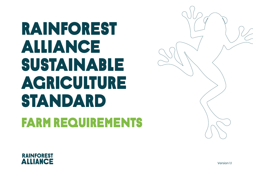# RAINFOREST ALLIANCE sUSTAINABLE AGRICULTURE STANDARD FARM REQUIREMENTS





Version 11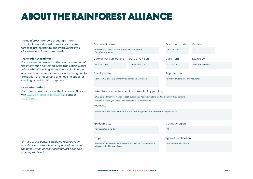# about the rainforestalliance

The Rainforest Alliance is creating a more sustainable world by using social and market forces to protect nature and improve the lives of farmers and forest communities.

### **Translation Disclaimer**

For any question related to the precise meaning of the information contained in the translation, please refer to the official English version for clarification. Any discrepancies or differences in meaning due to translation are not binding and have no effect for auditing or certification purposes.

### **More information?**

For more information about the Rainforest Alliance, visit www.rainforest-alliance.org or contact info@ra.org

*Any use of this content including reproduction, modification, distribution or republication, without the prior written consent of Rainforest Alliance is strictly prohibited.*

### Date of first publication: Document name: Date of revision: Developed by:  $\blacksquare$ June 30th, 2020 Rainforest Alliance Sustainable Agriculture Standard, Farm Requirements January 31st, 2021

### Linked to (code and name of documents, if applicable):

SA-S-SD-2-V1.1 Rainforest Alliance 2020 Sustainable Agriculture Standard, Supply Chain Requirements All other annexes, guidances and policies listed in this document.

### Replaces:

SA-S-SD-1-V1 Rainforest Alliance 2020 Sustainable Agriculture Standard, Farm requirements

### Farm certificate holders All All and the set of the set of the set of the set of the set of the set of the set of the set of the set of the set of the set of the set of the set of the set of the set of the set of the set o

All crops in the scope of the Rainforest Alliance certification system; please see Certification Rules.

### Applicable to:  $\qquad \qquad \text{Country/Region:}$

### Crops: Type of certification:

Farm certificate holders

### Valid from: Expires by:  $SA-S-SD-I-VI1$ 1.1

Version:

Until further notice

July 1st, 2021

Document code:

Rainforest Alliance Department Standards and Assurance Director of Standards and Assurance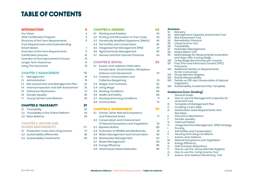### **TABLE OF CONTENTS**

### Introduction 4

| <b>Our Vision</b>                   | 4  |
|-------------------------------------|----|
| 2020 Certification Program          | 5  |
| Structure of the Farm Requirements  | 6  |
| Core Requirements and Understanding |    |
| <b>Smart Meters</b>                 | 7  |
| Overview of the Farm Requirements   | 9  |
| <b>Certification process</b>        | 10 |
| Overview of the Improvement Process | 13 |
| Longer Term Outcomes                | 14 |
| <b>Using This Document</b>          | 15 |

### CHAPTER 1: MANAGEMENT 16

| <b>CHAPTER 2: TRACEABLITY</b>               |    |
|---------------------------------------------|----|
| 1.7 Young Farmers and Workers               | 30 |
| 1.6 Gender Equality                         | 28 |
| 1.5 Grievance Mechanism                     | 27 |
| 1.4 Internal Inspection and Self-Assessment | 25 |
| 1.3 Risk Assessment and Management Plan     | 23 |
| 1.2 Administration                          | 19 |
| 1.1 Management                              | 18 |

| 2.1 Traceability                        | 34 |
|-----------------------------------------|----|
| 2.2 Traceability in the Online Platform | 34 |
| 2.3 Mass Balance                        | 35 |

### **CHAPTER 3: INCOME AND** SHARED RESPONSIBILITY 36

- 3.1 Production Costs and Living Income 3<br>32 Sustainability Differential 38
- 3.2 Sustainability Differential
- 3.3 Sustainability Investments 40

| 4 |     | <b>CHAPTER 4: FARMING</b>                   | 42 |
|---|-----|---------------------------------------------|----|
| 4 | 41  | Planting and Rotation                       | 43 |
| 5 | 4.2 | Pruning and Renovation of Tree Crops        | 44 |
| 6 |     | 4.3 Genetically Modified Organisms (GMOs)   | 45 |
|   |     | 4.4 Soil Fertility and Conservation         | 46 |
| 7 | 4.5 | Integrated Pest Management (IPM)            | 47 |
| 9 | 4.6 | Agrochemicals Management                    | 50 |
| 0 | 4.7 | <b>Harvest and Post-Harvest Practices</b>   | 54 |
| 3 |     |                                             |    |
| 4 |     | <b>CHAPTER 5: SOCIAL</b>                    | 55 |
| 5 | 5.1 | Assess-and-Address Child Labor,             |    |
|   |     | Forced Labor, Discrimination, Workplace     |    |
| 5 |     | <b>Violence and Harassment</b>              | 57 |
| 8 | 5.2 | Freedom of Association and                  |    |
| 9 |     | <b>Collective Bargaining</b>                | 61 |
| 3 |     | 5.3 Wages and Contracts                     | 62 |
| 5 |     | 5.4 Living Wage                             | 65 |
| 7 |     | 5.5 Working Conditions                      | 66 |
| 8 |     | 5.6 Health and Safety                       | 68 |
| 0 |     | 5.7 Housing and Living Conditions           | 71 |
| ī |     | 5.8 Communities                             | 74 |
| 4 |     | <b>CHAPTER 6: ENVIRONMENT</b>               | 75 |
| 4 | 6.1 | Forests, Other Natural Ecosystems           |    |
| 5 |     | and Protected Areas                         | 77 |
|   |     | 6.2 Conservation and Enhancement            |    |
|   |     | Of Natural Ecosystems and Vegetation        | 78 |
| 5 | 6.3 | <b>Riparian Buffers</b>                     | 80 |
| 7 |     | 6.4 Protection of Wildlife and Biodiversity | 81 |
| 8 | 6.5 | Water Management and Conservation           | 82 |
| 0 | 6.6 | <b>Wastewater Management</b>                | 83 |
|   |     | 6.7 Waste Management                        | 84 |
|   | 6.8 | <b>Energy Efficiency</b>                    | 85 |
|   | 6.9 | <b>Greenhouse Gases Reduction</b>           | 86 |
|   |     |                                             |    |

### **Annexes**

| S1                | Glossary                                                                    |
|-------------------|-----------------------------------------------------------------------------|
| S <sub>2</sub>    | <b>Management Capacity Assessment Tool</b>                                  |
| S3                | <b>Risk Assessment Tool</b>                                                 |
| S4                | <b>Remediation Protocol</b>                                                 |
| S5                | Living Income Tool                                                          |
| S6                | Traceability                                                                |
| S7                | Pesticides Management                                                       |
| S8                | <b>Salary Matrix Tool</b>                                                   |
| S <sub>9</sub>    | Methodology for Measuring Remuneration                                      |
|                   | and Gaps with a Living Wage                                                 |
| <b>S10</b>        | Living Wage Benchmarks per Country                                          |
| S11               | Free, Prior and Informed Consent (FPIC)                                     |
|                   | <b>Processes</b>                                                            |
| S12               | Additional Details on Requirements                                          |
|                   | for No-Conversion                                                           |
| <b>S13</b>        | Group Member Registry                                                       |
| S14<br><b>S15</b> | <b>Shared Responsibility</b><br>Details on Off-site Conservation of Natural |
|                   | Vegetation                                                                  |
| <b>S16</b>        | Sustainability Investment Plan Template                                     |
|                   |                                                                             |
|                   | Guidances (non-binding)                                                     |
|                   | <b>General Guide</b>                                                        |
| A                 | How to use the Management Capacity As-                                      |
|                   | sessment Tool                                                               |
| B                 | Template of Management Plan                                                 |
| C                 | Creating a Farm Map                                                         |
| D                 | Geolocation Data Requirements And                                           |
|                   | <b>Risk Maps</b>                                                            |
| Е                 | Grievance Mechanism                                                         |
| F                 | Gender equality                                                             |
| G                 | <b>Yield estimation</b>                                                     |
| н                 | Integrated Pest Management (IPM) strategy                                   |
| L                 | Pruning                                                                     |
| J                 | Soil fertility and Conservation                                             |
| K                 | Housing and Living Conditions                                               |
| L                 | Assess-and-Address                                                          |
| M                 | Natural Ecosystems and Vegetation                                           |
| N                 | <b>Energy Efficiency</b>                                                    |
| O                 | <b>GHG</b> Emission Reductions                                              |
|                   |                                                                             |

- P How to use the Group Member Registry
- Q How to use the Living Income Tool<br>R Assess-and-Address Monitoring To
- R Assess-and-Address Monitoring Tool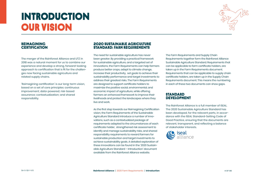# **INTRODUCTION** our vision



### REIMAGINING **CERTIFICATION**

The merger of the Rainforest Alliance and UTZ in 2018 was a natural moment for us to combine our experience and develop a strong, forward-looking approach to certification that is fit for the challenges now facing sustainable agriculture and related supply chains.

'Reimagining certification' is our long-term vision, based on a set of core principles: continuous improvement; data-powered; risk-based assurance; contextualization; and shared responsibility.

### 2020 SUSTAINABLE AGRICULTURE STANDARD: FARM REQUIREMENTS

The need for sustainable agriculture has never been greater. By providing a practical framework for sustainable agriculture, and a targeted set of innovations, the Farm Requirements can help farmers produce better crops, adapt to climate change, increase their productivity, set goals to achieve their sustainability performance and target investments to address their greatest risks. The Farm Requirements are designed to support certificate holders to maximize the positive social, environmental, and economic impact of agriculture, while offering farmers an enhanced framework to improve their livelihoods and protect the landscapes where they live and work.

As the first step towards our Reimagining Certification vision, the Farm Requirements of the Sustainable Agriculture Standard introduce a number of innovations, such as a contextualized package of requirements adapted to the circumstances of each certificate holder, strengthened risk assessment to identify and manage sustainability risks, and shared responsibility requirements to reward farmers for sustainable production and target investments to achieve sustainability goals. A detailed exploration of these innovations can be found in the '2020 Sustainable Agriculture Standard – Introduction' document available from the Rainforest Alliance website.

The Farm Requirements and Supply Chain Requirements together form the Rainforest Alliance Sustainable Agriculture Standard. Requirements that can be applicable to farm certificate holders, are taken up in the Farm Requirements document. Requirements that can be applicable to supply chain certificate holders, are taken up in the Supply Chain Requirements document. This means the numbering in each of these two documents can show gaps.

### **STANDARD DEVELOPMENT**

The Rainforest Alliance is a full member of ISEAL. The 2020 Sustainable Agriculture Standard has been developed, for the relevant parts, in accordance with the ISEAL Standard-Setting Code of Good Practice, ensuring that the documents are relevant, transparent, and reflecting a balance of stakeholder interests.

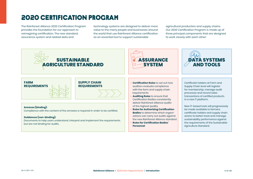### 2020 CERTIFICATION PROGRAM

The Rainforest Alliance 2020 Certification Program provides the foundation for our approach to reimagining certification. The new standard, assurance system and related data and

technology systems are designed to deliver more value to the many people and businesses around the world that use Rainforest Alliance certification as an essential tool to support sustainable

agricultural production and supply chains. Our 2020 Certification Program is made up of three principal components that are designed to work closely with each other:

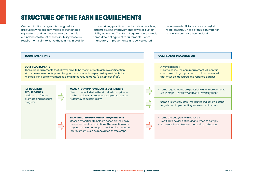### STRUCTURE OF THE FARM REQUIREMENTS

Our certification program is designed for producers who are committed to sustainable agriculture, and continuous improvement is a fundamental tenet of sustainability: the farm requirements aim to serve these aims. In addition to prescribing practices, the focus is on enabling and measuring improvements towards sustainability outcomes. The Farm Requirements include three different types of requirements – core, mandatory improvements, and self-selected

requirements. All topics have pass/fail requirements. On top of this, a number of 'Smart Meters' have been added.

### **CORE REQUIREMENTS**

These are requirements that always have to be met in order to achieve certification. Most core requirements prescribe good practices with respect to key sustainability risk topics and are formulated as compliance requirements (a binary pass/fail).

### **IMPROVEMENT REQUIREMENTS**

Designed to further promote and measure progress.

### **MANDATORY IMPROVEMENT REQUIREMENTS**

Need to be included in the standard compliance as the producer or producer group advances on its journey to sustainability.

### **SELF-SELECTED IMPROVEMENT REQUIREMENTS**

Chosen by certificate holders based on their own risk assessment or aspirations. The selection may depend on external support received for a certain improvement, such as renovation of tree crops.

### **REQUIREMENT TYPE COMPLIANCE MEASUREMENT**

### • Always pass/fail

• In some cases, the core requirement will contain a set threshold (e.g. payment of minimum wage) that must be measured and reported against.

• Some requirements are pass/fail – and improvements are in steps - Level 1 (year 3) and Level 2 (year 6)

- Some are Smart Meters, measuring indicators, setting targets and implementing improvement actions
- Some are pass/fail, with no levels.
- Certificate holder defines if and when to comply
- Some are Smart Meters, measuring indicators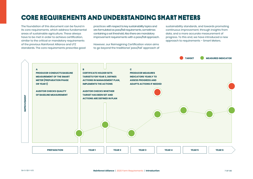### CORE REQUIREMENTS and UNDERSTANDING SMART METERS

The foundation of this document can be found in its core requirements, which address fundamental areas of sustainable agriculture. These always have to be met in order to achieve certification, similar to the critical or mandatory requirements of the previous Rainforest Alliance and UTZ standards. The core requirements prescribe good

practices with respect to key sustainability topics and are formulated as pass/fail requirements, sometimes containing a set threshold. Also there are mandatory improvement requirements with a pass/fall approach.

However, our Reimagining Certification vision aims to go beyond the traditional 'pass/fail' approach of

sustainability standards, and towards promoting continuous improvement, through insights from data, and a more accurate measurement of progress. To this end, we have introduced a new approach to requirements – Smart Meters.

**TARGET MEASURED INDICATOR**

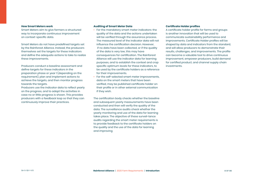### **How Smart Meters work**

Smart Meters aim to give farmers a structured way to incorporate continuous improvement on context-specific data.

Smart Meters do not have predefined targets set by the Rainforest Alliance. Instead, the producers themselves set the targets for these indicators and define the adequate actions to take to realize these improvements.

Producers conduct a baseline assessment and define targets for these indicators in the preparation phase or year 1 (depending on the requirement), plan and implement actions to achieve the targets, and then monitor progress towards the targets.

Producers use the indicator data to reflect yearly on the progress, and to adapt the activities in case no or little progress is shown. This provides producers with a feedback loop so that they can continuously improve their practices.

### **Auditing of Smart Meter Data**

- For the mandatory smart meter indicators: the quality of the data and the actions undertaken will be verified through the assurance process. The measured level of the indicator data will not influence the certification decision. However, if no data have been collected, or if the quality of the data is very low, this may have consequences for certification. The Rainforest Alliance will use the indicator data for learning purposes, and to establish the context and crop specific optimum levels for these indicators, to be used by the certificate holders as a reference for their improvements.
- For the self-selected smart meter improvements, data on the smart meters that have been verified, may be published certificate holder on their profile or in other external communication if they wish.

The certification body checks whether the baseline and subsequent yearly measurements have been conducted and then will verify the quality of the data. The surveillance audits check whether the yearly monitoring and use of the data for learning takes place. The objective of these surveil-lance audits regarding the smart meter requirements is to provide feedback to the certificate holders on the quality and the use of the data for learning and improving

### **Certificate Holder profiles**

A certificate holder profile for farms and groups is another innovation that will be used to communicate sustainability performance and improvements. Certificate Holder profiles will be shaped by data and indicators from the standard, and will allow producers to demonstrate their results, challenges, and improvements. The profile can become a valuable tool to drive continuous improvement, empower producers, build demand for certified product, and channel supply chain investments.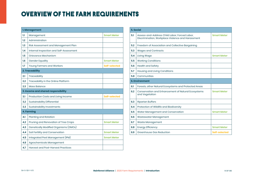### OVERVIEW OF THE FARM REQUIREMENTS

|     | 1. Management                           |                    |
|-----|-----------------------------------------|--------------------|
| 1.1 | Management                              | <b>Smart Meter</b> |
| 1.2 | Administration                          |                    |
| 1.3 | Risk Assessment and Management Plan     |                    |
| 1.4 | Internal Inspection and Self-Assessment |                    |
| 1.5 | Grievance Mechanism                     |                    |
| 1.6 | <b>Gender Equality</b>                  | <b>Smart Meter</b> |
| 1.7 | <b>Young Farmers and Workers</b>        | Self-selected      |
|     | 2. Traceability                         |                    |
| 2.1 | Traceability                            |                    |
| 2.2 | Traceability in the Online Platform     |                    |
| 2.3 | <b>Mass Balance</b>                     |                    |
|     | 3. Income and shared responsibility     |                    |
|     | Production Costs and Living Income      |                    |
| 3.1 |                                         | Self-selected      |
| 3.2 | <b>Sustainability Differential</b>      |                    |
| 3.3 | Sustainability Investments              |                    |
|     | 4. Farming                              |                    |
| 4.1 | Planting and Rotation                   |                    |
| 4.2 | Pruning and Renovation of Tree Crops    | <b>Smart Meter</b> |
| 4.3 | Genetically Modified Organisms (GMOs)   |                    |
| 4.4 | Soil Fertility and Conservation         | <b>Smart Meter</b> |
| 4.5 | Integrated Pest Management (IPM)        | <b>Smart Meter</b> |
| 4.6 | Agrochemicals Management                |                    |

|     | <b>5. Social</b>                                                                                   |                    |  |  |  |  |  |
|-----|----------------------------------------------------------------------------------------------------|--------------------|--|--|--|--|--|
| 5.1 | Assess-and-Address Child Labor, Forced Labor,<br>Discrimination, Workplace Violence and Harassment | <b>Smart Meter</b> |  |  |  |  |  |
| 5.2 | Freedom of Association and Collective Bargaining                                                   |                    |  |  |  |  |  |
| 5.3 | <b>Wages and Contracts</b>                                                                         |                    |  |  |  |  |  |
| 5.4 | <b>Living Wage</b>                                                                                 | <b>Smart Meter</b> |  |  |  |  |  |
| 5.5 | <b>Working Conditions</b>                                                                          |                    |  |  |  |  |  |
| 5.6 | <b>Health and Safety</b>                                                                           |                    |  |  |  |  |  |
| 5.7 | <b>Housing and Living Conditions</b>                                                               |                    |  |  |  |  |  |
| 5.8 | Communities                                                                                        |                    |  |  |  |  |  |
|     | <b>6. Environment</b>                                                                              |                    |  |  |  |  |  |
| 6.1 | Forests, other Natural Ecosystems and Protected Areas                                              |                    |  |  |  |  |  |
| 6.2 | <b>Conservation and Enhancement of Natural Ecosystems</b><br>and Vegetation                        | <b>Smart Meter</b> |  |  |  |  |  |
| 6.3 | <b>Riparian Buffers</b>                                                                            |                    |  |  |  |  |  |
| 6.4 | Protection of Wildlife and Biodiversity                                                            |                    |  |  |  |  |  |
| 6.5 | Water Management and Conservation                                                                  | <b>Smart Meter</b> |  |  |  |  |  |
| 6.6 | Wastewater Management                                                                              |                    |  |  |  |  |  |
| 6.7 | Waste Management                                                                                   |                    |  |  |  |  |  |
| 6.8 | <b>Energy Efficiency</b>                                                                           | <b>Smart Meter</b> |  |  |  |  |  |
| 6.9 | Greenhouse Gas Reduction                                                                           | Self-selected      |  |  |  |  |  |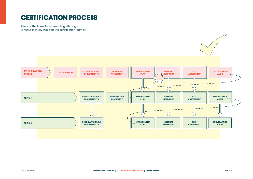### certification process

Users of the Farm Requirements go through a number of key steps on the certification journey.

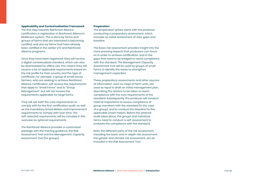### **Applicability and Contextualization Framework**

The first step towards Rainforest Alliance certification is registration in Rainforest Alliance's Multitrace system. This is done by farms and groups of farms that are interested in becoming certified, and also by farms that have already been certified in the earlier UTZ and Rainforest Alliance programs.

Once they have been registered, they will receive a digital contextualized standard, which can also be downloaded for offline use. This means they will receive a list of applicable requirements based on the risk profile for their country and the type of certificate. For example, a group of small cocoa farmers, who are seeking to achieve Rainforest Alliance certification, will receive the requirements that apply to "Small Farms" and to "Group Management", but will not receive the requirements applicable for large farms.

They will see both the core requirements to comply with for the first certification audit, as well as the mandatory Smart Meters and improvement requirements to comply with over time. The self-selected requirements will be included in this overview as optional requirements.

The Rainforest Alliance provides a customized package with the training guidance, the Risk Assessment Tool and the Management Capacity Assessment Tool (for groups).

### **Preparation**

The preparation phase starts with the producer conducting a preparatory assessment, which includes an initial assessment of risks, gaps and baseline.

The basic risk assessment provides insight into the more pressing aspects that producers can focus on in order to achieve certification, and in the gaps that need to be bridged to reach compliance with the standard. The Management Capacity Assessment Tool will be used by groups of small farms to identify the areas to strengthen management capacities.

These preparatory assessments and other sources of information, such as maps of farm units, are used as input to draft an initial management plan, describing the actions to be taken to reach compliance with the core requirements of the standard. Subsequently, the producer will conduct internal inspections to assess compliance of group members with the standard (in the case of a group), and to conduct the baseline for the applicable smart meters. Before the external audit takes place, the groups and individual farms need to conduct a self-assessment to evaluate the compliance with the standard.

*Note:* the different parts of the risk assessment, including the basic and in-depth risk assessment, the gender and climate risk assessment, are all included in the Risk Assessment Tool.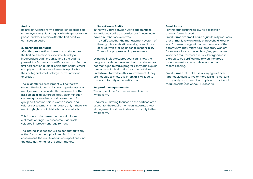### **Audits**

Rainforest Alliance farm certification operates on a three-yearly cycle. It begins with the preparation phase, and year 1 starts after the first positive certification audit.

### **a. Certification Audits**

After this preparation phase, the producer has the first certification audit carried out by an independent audit organization. If the audit is passed, the first year of certification starts. For the first certification audit all certificate holders must comply with all core requirements applicable to their category (small or large farms, individual or group).

The in-depth risk assessment will be the first action. This includes an in-depth gender assessment, as well as an in-depth assessment of the risks on child labor, forced labor, discrimination and workplace violence and harassment. For group certification, this in-depth assess-andaddress assessment is mandatory only if there is a medium/high risk of child labor or forced labor.

This in-depth risk assessment also includes a climate change risk assessment as a selfselected improvement requirement.

The internal inspections will be conducted yearly, with a focus on the topics identified in the risk assessment, the results of earlier inspections, and the data gathering for the smart meters.

### **b. Surveillance Audits**

In the two years between Certification Audits, Surveillance Audits are carried out. These audits have a number of objectives:

- To verify whether the management system of the organization is still ensuring compliance of all activities falling under its responsibility
- To monitor progress on improvements.

Using the indicators, producers can show the progress made. In the event that a producer has not managed to make progress, they can explain the causes of this situation and the activities undertaken to work on this improvement. If they are not able to show this effort, this will lead to a non-conformity or decertification.

### **Scope of the requirements**

The scope of the Farm requirements is the whole farm.

Chapter 4, Farming focuses on the certified crop, except for the requirements on Integrated Pest Management and pesticides which apply to the whole farm.

### **Small farms**

For this standard the following description of small farms is used:

Small farms are small-scale agricultural producers that primarily rely on family or household labor or workforce exchange with other members of the community. They might hire temporary workers for seasonal tasks or even hire (few) permanent workers. Small farmers are usually organized in a group to be certified and rely on the group management for record development and record keeping.

Small farms that make use of any type of hired labor equivalent to five or more full-time workers on a yearly basis, need to comply with additional requirements (see Annex S1 Glossary).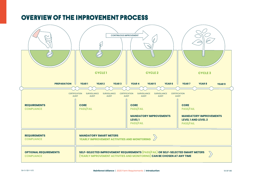### overview of the improvement process

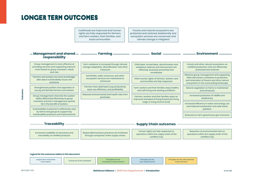### longer term OUTCOMES

Livelihoods are improved and human rights are fully respected for farmers and farm workers, their families, and local communities

Forests and natural ecosystems are protected and restored, biodiversity and ecosystem services are conserved, and climate change is mitigated

| - Management and shared - <b>----------</b><br>responsibility                                                                          | <b>Farming</b>                                                                                                                                    | Social .                                                                                                                      | <b>Environment</b>                                                                                                                                                                  |  |
|----------------------------------------------------------------------------------------------------------------------------------------|---------------------------------------------------------------------------------------------------------------------------------------------------|-------------------------------------------------------------------------------------------------------------------------------|-------------------------------------------------------------------------------------------------------------------------------------------------------------------------------------|--|
| Group management is more effective at<br>providing services and supporting improve-<br>ment based on group members' needs<br>and risks | Farm resilience is increased through climate<br>change adaptation, diversification, and other<br>measures                                         | Child labor, forced labor, discrimination and<br>workplace violence and harrassment are<br>effecively assessed, prevented and | Forests and other natural ecosystems on<br>certified production units are effectively<br>protected and restored                                                                     |  |
| Farmers and workers are more knowledge-<br>able about sustainability issues and<br>practices                                           | Soil fertility, water resources, and other<br>ecosystem services are maintained or<br>enhanced                                                    | remediated<br>Other human rights of farmers, workers, and<br>communities are fully respected                                  | Effective group management and supporting<br>field intervention contribute to protection<br>and restoration of forests and other natural<br>ecosystems in the surrounding landscape |  |
| Strengthened position and capacities of<br>young and female farmers and workers                                                        | Farmers have optimized crop productivity,<br>input use efficiency, and profitability<br>Reduced environmental and health risks from<br>pesticides | Farm workers and their families enjoy healthy<br>and safe living and working conditions                                       | Natural vegetation on farms is maintained<br>and enhanced                                                                                                                           |  |
| Group management channels the sustain-<br>ability differential effectively to group                                                    |                                                                                                                                                   | Farmers, workers and their families enjoy an<br>improved standard of living [toward the living                                | Increased protection of wildlife and<br>biodiversity                                                                                                                                |  |
| members and farm management spends<br>SD in the benefit of workers<br>Sustainability Investment is effectively used                    |                                                                                                                                                   | wage or living income level]                                                                                                  | Increased efficiency in water and energy use<br>and reduced wastewater and solid waste<br>pollution                                                                                 |  |
| by farms and groups to support key<br>sustainability practices and improvements                                                        |                                                                                                                                                   |                                                                                                                               | Reduced on-farm greenhouse gas emissions                                                                                                                                            |  |
| <b>Traceability</b>                                                                                                                    |                                                                                                                                                   | <b>Supply Chain outcomes</b>                                                                                                  |                                                                                                                                                                                     |  |

| Increased credibility of assurance and<br>traceability of certified products | Responsible business practices are instituted<br>through companies' entire supply chains | Human rights are fully respected on<br>operations within the supply chain of the<br>certified crop | Reduction of environmental risks on<br>operations within the supply chain of the<br>certified crop |
|------------------------------------------------------------------------------|------------------------------------------------------------------------------------------|----------------------------------------------------------------------------------------------------|----------------------------------------------------------------------------------------------------|
|------------------------------------------------------------------------------|------------------------------------------------------------------------------------------|----------------------------------------------------------------------------------------------------|----------------------------------------------------------------------------------------------------|

### **Legend for the outcomes tables in this document**

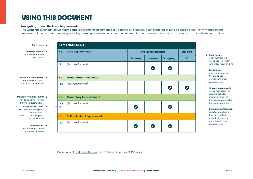### USING THIS DOCUMENT

### **Navigating around the Farm Requirements**

The Sustainable Agriculture Standard Farm Requirements document is divided into six chapters, each centered around a specific area – farm management, traceability, income and shared responsibility, farming, social and environment. The requirements in each chapter are presented in tables like the one below.

| Topic name $\bullet \cdots \cdots \cdots$                                                                                                         |                       |        | <b>1.1 MANAGEMENT</b>             |                          |                            |            |                      |
|---------------------------------------------------------------------------------------------------------------------------------------------------|-----------------------|--------|-----------------------------------|--------------------------|----------------------------|------------|----------------------|
| Core requirement: $\bullet \cdots \cdots \bullet$ No.<br>has to be complied                                                                       |                       |        | <b>Core requirements</b>          |                          | <b>Group certification</b> |            | Ind. cert.           |
| with always                                                                                                                                       |                       |        |                                   | S-farms                  | L-farms                    | Group mgt. | s/L                  |
|                                                                                                                                                   |                       | 1.1.1  | (Text requirement)                |                          | $\bullet$                  | $\bullet$  |                      |
| Mandatory Smart Meter: •………<br>measured each year,                                                                                                |                       | ∙• No. | <b>Mandatory Smart Meter</b>      |                          |                            |            |                      |
| from year one onwards                                                                                                                             |                       | 1.1.2  | (Text requirement)                |                          |                            | $\bullet$  | $\blacktriangledown$ |
| has to be complied with                                                                                                                           |                       |        | <b>Mandatory Improvement</b>      |                          |                            |            |                      |
| from the indicated time<br>Improvement Level: $\bullet \cdots \cdots \bullet \blacksquare$<br>Level 1 (L1) after three years<br>of certification. |                       | 1.1.3  | (Text requirement)                | $\overline{\mathsf{v}}$  |                            | $\bullet$  |                      |
| Level $2(L2)$ after six years<br>of certification                                                                                                 | :… <mark>♦ No.</mark> |        | <b>Self-selected Requirements</b> |                          |                            |            |                      |
| Self-selected: $\bullet \cdots$<br>Not required. Can be<br>chosen at any time                                                                     |                       | 1.1.4  | (Text requirement)                | $\overline{\mathcal{S}}$ | $\bullet$                  | $\bullet$  |                      |

Definitions of underlined terms are explained in Annex S1, Glossary

each member of a group has to comply with these requirements

### **Large farms:**

each large farm in the group has to comply with these requirements

### **Group management:**

group management is responsible for implementation of these requirements for the group members

### **Individual certification:**

small or large farms that are certified individually have to comply with these requirements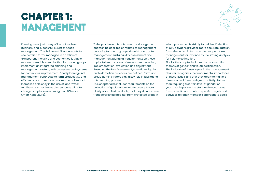# **CHAPTER 1: MANAGEMENT**



Farming is not just a way of life but is also a business, and successful business needs management. The Rainforest Alliance wants to see certified farms managed in an efficient, transparent, inclusive and economically viable manner. Here, it is essential that farms and groups implement an integrated planning and management system, with processes and systems for continuous improvement. Good planning and management contribute to farm productivity and efficiency, and to reduced environmental impact. Increased efficiency in the use of land, water, fertilizers, and pesticides also supports climate change adaptation and mitigation (Climate Smart Agriculture).

To help achieve this outcome, the Management chapter includes topics related to management capacity, farm and group administration, data management, sustainability assessment and management planning. Requirements on these topics follow a process of assessment, planning, implementation, evaluation and adjustment. Based on the Risk Assessment, specific mitigation and adaptation practices are defined. Farm and group administrators play a key role in facilitating this planning process.

This chapter also includes requirements on the collection of geolocation data to assure traceability of certified products; that they do not come from deforested area nor from protected areas in

which production is strictly forbidden. Collection of GPS polygons provides more accurate data on farm size, which in turn can also support farm management for instance by facilitating analysis for volume estimation.

Finally, this chapter includes the cross-cutting themes of gender and youth participation. The inclusion of these topics in the management chapter recognizes the fundamental importance of these issues, and that they apply to multiple dimensions of farm and group activity. Rather than requiring a certain level of gender or youth participation, the standard encourages farm-specific and context-specific targets and activities to reach member's appropriate goals.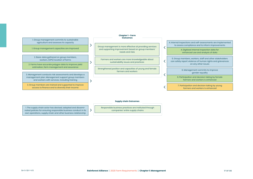| 1. Group management commits to sustainable |  |
|--------------------------------------------|--|
| agriculture and assesses its capacity      |  |

1. Group management capacities are improved

 $\rightarrow$ 

 $\rightarrow$ 

 $\rightarrow$ 

2. Basic data gathered on group members,

2. Farms have accurate polygon data to improve yield estimation, farm management and assurance

3. Management conducts risk assessments and develops a management plan. Management support group members and workers with services, including training

3. Group members are trained and supported to improve access to finance and to diversify their income

### **Chapter 1 - Farm Outcomes**

Group management is more effective at providing services and supporting improvement based on group members' needs and risks

sustainability issues and practices

Strengthened position and capacities of young and female farmers and workers

4. Internal inspections and self-assessments are implemented to assess compliance and to inform improvements

 $\checkmark$ 

 $\overline{\langle}$ 

≺

4. Digitized internal inspection data for enhanced use and analysis of data

workers, (GPS) location of farms stateholders and workers are more knowledgeable about the stateholders workers, workers, staff and other stakeholders are more knowledgeable about the stateholders are more knowledgeable ab can safely report violence of human rights and grievances on any other issues

> 6. Management commits to improve gender equality

6. Participation and decision taking by female farmers and workers is enhanced

7. Participation and decision taking by young farmers and workers is enhanced

### **Supply chain Outcomes**

Responsible business practices are instituted through companies' entire supply chains

1. The supply chain actor has devised, adopted and disseminated policies for ensuring responsible business conduct in its own operations, supply chain and other business relationship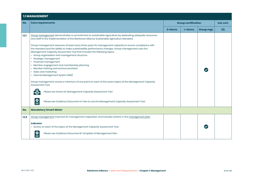| <b>1.1 MANAGEMENT</b> |                                                                                                                                                                                                                                                                                                                                                                             |         |                            |  |            |  |  |
|-----------------------|-----------------------------------------------------------------------------------------------------------------------------------------------------------------------------------------------------------------------------------------------------------------------------------------------------------------------------------------------------------------------------|---------|----------------------------|--|------------|--|--|
| No.                   | <b>Core requirements</b>                                                                                                                                                                                                                                                                                                                                                    |         | <b>Group certification</b> |  | Ind. cert. |  |  |
|                       |                                                                                                                                                                                                                                                                                                                                                                             | S-farms | S/L                        |  |            |  |  |
| 1.1.1                 | Group management demonstrates a commitment to sustainable agriculture by dedicating adequate resources<br>and staff to the implementation of the Rainforest Alliance Sustainable Agriculture Standard.<br>Group management assesses at least every three years its management capacity to ensure compliance with                                                            |         |                            |  |            |  |  |
|                       | the standard and the ability to make sustainability performance changes. Group management uses the<br>Management Capacity Assessment Tool that includes the following topics:<br>• Group organization and management structure<br>Strategic management<br>• Financial management<br>• Member engagement and membership planning<br>• Member training and services provision |         |                            |  |            |  |  |
|                       | · Sales and marketing<br>• Internal Management System (IMS)<br>Group management scores a minimum of one point on each of the seven topics of the Management Capacity<br>Assessment Tool.                                                                                                                                                                                    |         |                            |  |            |  |  |
|                       | Please see Annex S2: Management Capacity Assessment Tool<br>$\overset{\circ}{\equiv}$<br>Please see Guidance Document A: How to use the Management Capacity Assessment Tool                                                                                                                                                                                                 |         |                            |  |            |  |  |
| No.                   | <b>Mandatory Smart Meter</b>                                                                                                                                                                                                                                                                                                                                                |         |                            |  |            |  |  |
| 1.1.2                 | Group management improves its management capacities, and includes actions in the management plan.<br><b>Indicator:</b><br>· Scores on each of the topics of the Management Capacity Assessment Tool.                                                                                                                                                                        |         |                            |  |            |  |  |
|                       | Please see Guidance Document B: Template of Management Plan                                                                                                                                                                                                                                                                                                                 |         |                            |  |            |  |  |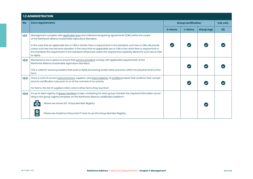|       | <b>1.2 ADMINISTRATION</b>                                                                                                                                                                                                                                                                                                                                                              |                            |         |            |            |
|-------|----------------------------------------------------------------------------------------------------------------------------------------------------------------------------------------------------------------------------------------------------------------------------------------------------------------------------------------------------------------------------------------|----------------------------|---------|------------|------------|
| No.   | <b>Core requirements</b>                                                                                                                                                                                                                                                                                                                                                               | <b>Group certification</b> |         |            | Ind. cert. |
|       |                                                                                                                                                                                                                                                                                                                                                                                        | <b>S-farms</b>             | L-farms | Group mgt. | S/L        |
| 1.2.1 | Management complies with applicable laws and collective bargaining agreements (CBA) within the scope<br>of the Rainforest Alliance Sustainable Agriculture Standard.                                                                                                                                                                                                                   |                            |         |            |            |
|       | In the case that an applicable law or CBA is stricter than a requirement in the standard, such law or CBA will prevail<br>unless such law has become obsolete. In the case that an applicable law or CBA is less strict than a requirement in<br>the standard, the requirement in the standard will prevail, unless the requirement explicitly allows for such law or CBA<br>to apply. |                            |         |            |            |
| 1.2.2 | Mechanisms are in place to ensure that service providers comply with applicable requirements of the<br>Rainforest Alliance Sustainable Agriculture Standard.<br>This is valid for service providers that work on field, processing and/or labor provision within the physical limits of the<br>farm.                                                                                   |                            |         |            |            |
| 1.2.3 | There is a list of current subcontractors, suppliers, and intermediaries of certified product that confirms their compli-<br>ance to certification rules prior to or at the moment of an activity.<br>For farms, this list of suppliers refers only to other farms they buy from.                                                                                                      |                            |         |            |            |
| 1.2.4 | An up to date registry of group members is kept, containing for each group member the required information accor-<br>ding to the group registry template on the Rainforest Alliance certification platform.                                                                                                                                                                            |                            |         |            |            |
|       | Please see Annex S13: Group Member Registry                                                                                                                                                                                                                                                                                                                                            |                            |         |            |            |
|       | $\frac{\mathbf{O}}{\mathbf{O}}$<br>Please see Guidance Document P: How to use the Group Member Registry                                                                                                                                                                                                                                                                                |                            |         |            |            |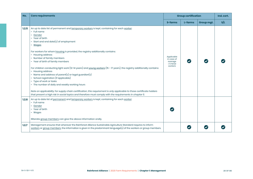| No.   | <b>Core requirements</b>                                                                                                                                                                                                                                                                                                                                                                                                                                                                                                                                                                                                                                                                                                                                                                                                                                                                                                                        | <b>Group certification</b>                                       |                      |            | Ind. cert. |
|-------|-------------------------------------------------------------------------------------------------------------------------------------------------------------------------------------------------------------------------------------------------------------------------------------------------------------------------------------------------------------------------------------------------------------------------------------------------------------------------------------------------------------------------------------------------------------------------------------------------------------------------------------------------------------------------------------------------------------------------------------------------------------------------------------------------------------------------------------------------------------------------------------------------------------------------------------------------|------------------------------------------------------------------|----------------------|------------|------------|
|       |                                                                                                                                                                                                                                                                                                                                                                                                                                                                                                                                                                                                                                                                                                                                                                                                                                                                                                                                                 | S-farms                                                          | L-farms              | Group mgt. | s/L        |
| 1.2.5 | An up to date list of permanent and temporary workers is kept, containing for each worker:<br>$\cdot$ Full name<br>• Gender<br>• Year of birth<br>• Start and end date(s) of employment<br>• Wages<br>For workers for whom housing is provided, the registry additionally contains:<br>• Housing address<br>• Number of family members<br>• Year of birth of family members<br>For children conducting light work (12-14 years) and young workers (15 - 17 years), the registry additionally contains:<br>• Housing address<br>• Name and address of parent(s) or legal guardian(s)<br>· School registration (if applicable)<br>• Type of work or tasks<br>• The number of daily and weekly working hours<br>Note on applicability: for supply chain certification, this requirement is only applicable to those certificate holders<br>that present a high risk in social topics and therefore must comply with the requirements in chapter 5. | Applicable<br>in case of<br>average<br>$\geq 5$ hired<br>workers | $\blacktriangledown$ |            |            |
| 1.2.6 | An up to date list of permanent and temporary workers is kept, containing for each worker:<br>• Full name<br>• Gender<br>• Year of birth<br>• Wages<br>Illiterate group members can give the above information orally.                                                                                                                                                                                                                                                                                                                                                                                                                                                                                                                                                                                                                                                                                                                          |                                                                  |                      |            |            |
| 1.2.7 | Management ensures that wherever the Rainforest Alliance Sustainable Agriculture Standard requires to inform<br>workers or group members, the information is given in the predominant language(s) of the workers or group members.                                                                                                                                                                                                                                                                                                                                                                                                                                                                                                                                                                                                                                                                                                              |                                                                  |                      |            |            |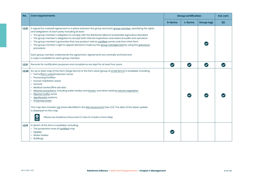| No.    | <b>Core requirements</b>                                                                                                                                                                                                                                                                                                                                                                                                                                                                                                                                                                                                                                                                                                                  | <b>Group certification</b> |           |                       | Ind. cert. |
|--------|-------------------------------------------------------------------------------------------------------------------------------------------------------------------------------------------------------------------------------------------------------------------------------------------------------------------------------------------------------------------------------------------------------------------------------------------------------------------------------------------------------------------------------------------------------------------------------------------------------------------------------------------------------------------------------------------------------------------------------------------|----------------------------|-----------|-----------------------|------------|
|        |                                                                                                                                                                                                                                                                                                                                                                                                                                                                                                                                                                                                                                                                                                                                           | S-farms                    | L-farms   | Group mgt.            | S/L        |
| 1.2.8  | A signed (or marked) agreement is in place between the group and each group member, specifying the rights<br>and obligations of each party including at least:<br>· The group member's obligation to comply with the Rainforest Alliance Sustainable Agriculture Standard<br>• The group member's obligation to accept both internal inspections and external audits and sanctions<br>· The group member's guarantee that any product sold as certified comes only from their farm<br>• The group member's right to appeal decisions made by the group management by using the grievance<br>procedure<br>Each group member understands the agreement. Agreements are centrally archived and<br>a copy is available for each group member. |                            |           |                       |            |
| 1.2.9  | Records for certification purposes and compliance are kept for at least four years.                                                                                                                                                                                                                                                                                                                                                                                                                                                                                                                                                                                                                                                       | $\bullet$                  | $\bullet$ | $\boldsymbol{\omega}$ |            |
| 1.2.10 | An up to date map of the farm (large farms) or the farm area (group of small farms) is available, including:<br>• Farms/farm units/production zones<br>• Processing facilities<br>• Human habitation areas<br>• Schools<br>• Medical centers/first aid sites<br>· Natural ecosystems, including water bodies and forests, and other existing natural vegetation<br>Riparian buffer zones<br>• Agroforestry systems<br>• Protected areas<br>The map also includes risk areas identified in the Risk Assessment (see 1.3.1). The date of the latest update<br>is displayed on the map.<br>$\overline{\underline{\bullet}}$<br>Please see Guidance Document C: How to Create a Farm Map                                                      |                            |           |                       |            |
| 1.2.11 | A sketch of the farm is available, including:<br>• The production area of certified crop<br>• Forests<br>• Water bodies<br>• Buildings                                                                                                                                                                                                                                                                                                                                                                                                                                                                                                                                                                                                    |                            |           |                       |            |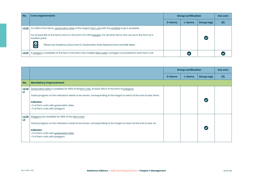| No.    | <b>Core requirements</b>                                                                                                                  | <b>Group certification</b> |         |            | Ind. cert. |
|--------|-------------------------------------------------------------------------------------------------------------------------------------------|----------------------------|---------|------------|------------|
|        |                                                                                                                                           | S-farms                    | L-farms | Group mgt. | S/L        |
| 1.2.12 | For 100% of the farms, geolocation data of the largest farm unit with the certified crop is available.                                    |                            |         |            |            |
|        | For at least 10% of the farms, this is in the form of a GPS polygon. For all other farms, this can be in the form of a<br>location point. |                            |         |            |            |
|        | $\bm{Q}$<br>Please see Guidance Document D: Geolocation Data Requirements and Risk Maps                                                   |                            |         |            |            |
| 1.2.13 | A polygon is available of the farm. If the farm has multiple farm units, a polygon is provided for each farm unit.                        |                            |         |            |            |

|              |                                                                                                                                                                                                                                                                                                                       | <b>Group certification</b> |         |                      | Ind. cert. |
|--------------|-----------------------------------------------------------------------------------------------------------------------------------------------------------------------------------------------------------------------------------------------------------------------------------------------------------------------|----------------------------|---------|----------------------|------------|
|              |                                                                                                                                                                                                                                                                                                                       | S-farms                    | L-farms | Group mgt.           | S/L        |
| No.          | <b>Mandatory Improvement</b>                                                                                                                                                                                                                                                                                          |                            |         |                      |            |
| 1.2.14<br>H  | Geolocation data is available for 100% of all farm units. At least 30% is in the form of polygons.<br>Yearly progress on the indicators needs to be shown, corresponding to the target to reach at the end of year three.<br>Indicator:<br>• % of farm units with geolocation data<br>. % of farm units with polygons |                            |         | $\blacktriangledown$ |            |
| 1.2.15<br>L2 | Polygons are available for 100% of the farm units.<br>Yearly progress on the indicators needs to be shown, corresponding to the target to reach at the end of year six.<br>Indicator:<br>.% of farm units with geolocation data<br>. % of farm units with polygons                                                    |                            |         |                      |            |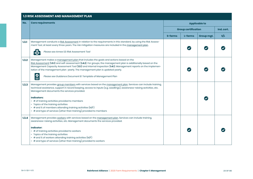|       | <b>1.3 RISK ASSESSMENT AND MANAGEMENT PLAN</b>                                                                                                                                                                                                                                                                                                                                                                                                                                                                                        |                      |                            |            |            |  |  |  |
|-------|---------------------------------------------------------------------------------------------------------------------------------------------------------------------------------------------------------------------------------------------------------------------------------------------------------------------------------------------------------------------------------------------------------------------------------------------------------------------------------------------------------------------------------------|----------------------|----------------------------|------------|------------|--|--|--|
| No.   | <b>Core requirements</b>                                                                                                                                                                                                                                                                                                                                                                                                                                                                                                              | <b>Applicable to</b> |                            |            |            |  |  |  |
|       |                                                                                                                                                                                                                                                                                                                                                                                                                                                                                                                                       |                      | <b>Group certification</b> |            | Ind. cert. |  |  |  |
|       |                                                                                                                                                                                                                                                                                                                                                                                                                                                                                                                                       | S-farms              | L-farms                    | Group mgt. | s/L        |  |  |  |
| 1.3.1 | Management conducts a Risk Assessment in relation to the requirements in this standard, by using the Risk Assess-<br>ment Tool, at least every three years. The risk mitigation measures are included in the management plan.<br>Please see Annex S3: Risk Assessment Tool                                                                                                                                                                                                                                                            |                      |                            |            |            |  |  |  |
| 1.3.2 | Management makes a management plan that includes the goals and actions based on the<br>Risk Assessment (1.3.1) and self-assessment (1.4.2). For groups, the management plan is additionally based on the<br>Management Capacity Assessment Tool (1.1.1) and internal inspection (1.4.1). Management reports on the implemen-<br>tation of the management plan yearly. The management plan is updated yearly.<br>$\boldsymbol{O}$<br>Please see Guidance Document B: Template of Management Plan                                       |                      |                            |            |            |  |  |  |
| 1.3.3 | Management provides group members with services based on the management plan. Services can include training,<br>technical assistance, support in record keeping, access to inputs (e.g. seedlings), awareness-raising activities, etc.<br>Management documents the services provided.<br>Indicators:<br>• # of training activities provided to members<br>• Topics of the training activities<br>$\cdot$ # and % of members attending training activities (M/F)<br>• # and type of services (other than training) provided to members |                      |                            |            |            |  |  |  |
| 1,3.4 | Management provides workers with services based on the management plan. Services can include training,<br>awareness-raising activities, etc. Management documents the services provided.<br>Indicator:<br>• # of training activities provided to workers<br>• Topics of the training activities<br>$\cdot$ # and % of workers attending training activities $(M/F)$<br>• # and type of services (other than training) provided to workers                                                                                             |                      |                            |            |            |  |  |  |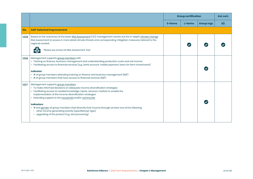|       |                                                                                                                                                                                                                                                                                                                                                                                                                                                                                                                                                                       | <b>Group certification</b> |         |            | Ind. cert. |
|-------|-----------------------------------------------------------------------------------------------------------------------------------------------------------------------------------------------------------------------------------------------------------------------------------------------------------------------------------------------------------------------------------------------------------------------------------------------------------------------------------------------------------------------------------------------------------------------|----------------------------|---------|------------|------------|
|       |                                                                                                                                                                                                                                                                                                                                                                                                                                                                                                                                                                       | S-farms                    | L-farms | Group mgt. | S/L        |
| No.   | <b>Self-Selected Improvement</b>                                                                                                                                                                                                                                                                                                                                                                                                                                                                                                                                      |                            |         |            |            |
| 1.3.5 | Based on the outcomes of the basic Risk Assessment (1.3.1), management carries out the in-depth climate change<br>Risk Assessment to assess in more detail climate threats and corresponding mitigation measures tailored to the<br>regional context.<br>Please see Annex S3: Risk Assessment Tool                                                                                                                                                                                                                                                                    |                            |         |            |            |
| 1.3.6 | Management supports group members with<br>• Training on finance, business management and understanding production costs and net income<br>• Facilitating access to financial services (e.g., bank account, mobile payment, loans for farm investments)<br><b>Indicator:</b><br>• # of group members attending training on finance and business management ( $M/F$ )<br>$\cdot$ # of group members that have access to financial services (M/F)                                                                                                                        |                            |         |            |            |
| 1.3.7 | Management supports group members:<br>· To make informed decisions on adequate income diversification strategies<br>• Facilitating access to needed knowledge, inputs, services, markets to enable the<br>implementation of the income diversification strategies<br>• Extending support to the household and/or community<br><b>Indicators:</b><br>• # and gender of group members that diversify their income through at least one of the following:<br>• other income generating activity (specified per type)<br>• upgrading of the product (e.g. wet processing) |                            |         |            |            |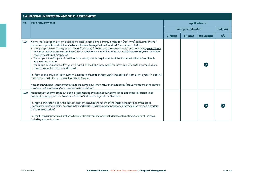|       | <b>1.4 INTERNAL INSPECTION AND SELF-ASSESSMENT</b>                                                                                                                                                                                                                                                                                                                                                                                                                                                                                                                                                                                                                                                                                                                                                                                                                                                                                                                                                                                                                                                                                                                                                                  |         |                            |            |            |  |  |  |
|-------|---------------------------------------------------------------------------------------------------------------------------------------------------------------------------------------------------------------------------------------------------------------------------------------------------------------------------------------------------------------------------------------------------------------------------------------------------------------------------------------------------------------------------------------------------------------------------------------------------------------------------------------------------------------------------------------------------------------------------------------------------------------------------------------------------------------------------------------------------------------------------------------------------------------------------------------------------------------------------------------------------------------------------------------------------------------------------------------------------------------------------------------------------------------------------------------------------------------------|---------|----------------------------|------------|------------|--|--|--|
| No.   | <b>Core requirements</b>                                                                                                                                                                                                                                                                                                                                                                                                                                                                                                                                                                                                                                                                                                                                                                                                                                                                                                                                                                                                                                                                                                                                                                                            |         | <b>Applicable to</b>       |            |            |  |  |  |
|       |                                                                                                                                                                                                                                                                                                                                                                                                                                                                                                                                                                                                                                                                                                                                                                                                                                                                                                                                                                                                                                                                                                                                                                                                                     |         | <b>Group certification</b> |            | Ind. cert. |  |  |  |
|       |                                                                                                                                                                                                                                                                                                                                                                                                                                                                                                                                                                                                                                                                                                                                                                                                                                                                                                                                                                                                                                                                                                                                                                                                                     | S-farms | L-farms                    | Group mgt. | s/L        |  |  |  |
| 1.4.1 | An internal inspection system is in place to assess compliance of group members (for farms), sites, and/or other<br>actors in scope with the Rainforest Alliance Sustainable Agriculture Standard. The system includes:<br>• Yearly inspection of each group member (for farms), (processing) site and any other actor (including subcontrac-<br>tors, intermediaries, service providers) in the certification scope. Before the first certification audit, all these actors<br>need to be internally inspected.<br>• The scope in the first year of certification is: all applicable requirements of the Rainforest Alliance Sustainable<br>Agriculture Standard<br>• The scope during consecutive years is based on the Risk Assessment (for farms, see 1.3.1), on the previous year's<br>internal inspection and on audit results<br>For farm scope only: a rotation system is in place so that each farm unit is inspected at least every 3 years. In case of<br>remote farm units, this is done at least every 6 years.<br>Note on applicability: internal inspections are carried out when more than one entity (group members, sites, service<br>providers, subcontractors) are included in the certificate. |         |                            |            |            |  |  |  |
| 1.4.2 | Management yearly carries out a self-assessment to evaluate its own compliance and that of all actors in its<br>certification scope with the Rainforest Alliance Sustainable Agriculture Standard.<br>For farm certificate holders, the self-assessment includes the results of the internal inspections of the group<br>members and other entities covered in the certificate (including subcontractors, intermediaries, service providers,<br>and processing sites).                                                                                                                                                                                                                                                                                                                                                                                                                                                                                                                                                                                                                                                                                                                                              |         |                            |            |            |  |  |  |
|       | For multi-site supply chain certificate holders, the self-assessment includes the internal inspections of the sites,<br>including subcontractors.                                                                                                                                                                                                                                                                                                                                                                                                                                                                                                                                                                                                                                                                                                                                                                                                                                                                                                                                                                                                                                                                   |         |                            |            |            |  |  |  |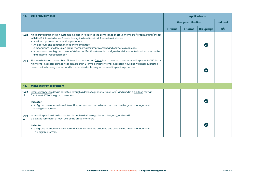| No.          | <b>Core requirements</b>                                                                                                                                                                                                                                                                                                                                                                                                                                                                                                                                         | <b>Applicable to</b>       |         |                      |     |
|--------------|------------------------------------------------------------------------------------------------------------------------------------------------------------------------------------------------------------------------------------------------------------------------------------------------------------------------------------------------------------------------------------------------------------------------------------------------------------------------------------------------------------------------------------------------------------------|----------------------------|---------|----------------------|-----|
|              |                                                                                                                                                                                                                                                                                                                                                                                                                                                                                                                                                                  | <b>Group certification</b> |         | Ind. cert.           |     |
|              |                                                                                                                                                                                                                                                                                                                                                                                                                                                                                                                                                                  | S-farms                    | L-farms | Group mgt.           | S/L |
| 1.4.3        | An approval and sanction system is in place in relation to the compliance of group members (for farms) and/or sites<br>with the Rainforest Alliance Sustainable Agriculture Standard. The system includes:<br>• A written approval and sanction procedure<br>• An approval and sanction manager or committee<br>• A mechanism to follow up on group members'/sites' improvement and corrective measures<br>• A decision on each group member's/site's certification status that is signed and documented and included in the<br>final internal inspection report |                            |         | $\blacktriangledown$ |     |
| 1.4.4        | The ratio between the number of internal inspectors and farms has to be at least one internal inspector to 250 farms.<br>An internal inspector cannot inspect more than 6 farms per day. Internal inspectors have been trained, evaluated<br>based on the training content, and have acquired skills on good internal inspection practices.                                                                                                                                                                                                                      |                            |         |                      |     |
| No.          | <b>Mandatory Improvement</b>                                                                                                                                                                                                                                                                                                                                                                                                                                                                                                                                     |                            |         |                      |     |
| 1.4.5<br>L1. | Internal inspection data is collected through a device (e.g. phone, tablet, etc.), and used in a digitized format<br>for at least 30% of the group members.<br><b>Indicator:</b><br>• % of group members whose internal inspection data are collected and used by the group management<br>in a digitized format.                                                                                                                                                                                                                                                 |                            |         |                      |     |
| 1.4.6<br>L2  | Internal inspection data is collected through a device (e.g. phone, tablet, etc.), and used in<br>a digitized format for at least 90% of the group members.<br><b>Indicator:</b><br>• % of group members whose internal inspection data are collected and used by the group management<br>in a digitized format.                                                                                                                                                                                                                                                 |                            |         |                      |     |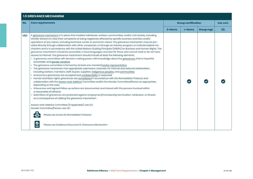| No.   | <b>Core requirements</b>                                                                                                                                                                                                                                                                                                                                                                                                                                                                                                                                                                                                                                                                                                                                                                                                                                                                                                                                                                                                                                                                                                                                                                                                                                                                                                                                                                                                                                                                                                                                                                                                                                                                                                                                                                                                                                                                                                                                                                                                                                                                        | <b>Group certification</b> |         |            | Ind. cert. |  |
|-------|-------------------------------------------------------------------------------------------------------------------------------------------------------------------------------------------------------------------------------------------------------------------------------------------------------------------------------------------------------------------------------------------------------------------------------------------------------------------------------------------------------------------------------------------------------------------------------------------------------------------------------------------------------------------------------------------------------------------------------------------------------------------------------------------------------------------------------------------------------------------------------------------------------------------------------------------------------------------------------------------------------------------------------------------------------------------------------------------------------------------------------------------------------------------------------------------------------------------------------------------------------------------------------------------------------------------------------------------------------------------------------------------------------------------------------------------------------------------------------------------------------------------------------------------------------------------------------------------------------------------------------------------------------------------------------------------------------------------------------------------------------------------------------------------------------------------------------------------------------------------------------------------------------------------------------------------------------------------------------------------------------------------------------------------------------------------------------------------------|----------------------------|---------|------------|------------|--|
|       |                                                                                                                                                                                                                                                                                                                                                                                                                                                                                                                                                                                                                                                                                                                                                                                                                                                                                                                                                                                                                                                                                                                                                                                                                                                                                                                                                                                                                                                                                                                                                                                                                                                                                                                                                                                                                                                                                                                                                                                                                                                                                                 | S-farms                    | L-farms | Group mgt. | S/L        |  |
| 1.5.1 | A grievance mechanism is in place that enables individuals, workers, communities, and/or civil society, including<br>whistle-blowers to raise their complaints of being negatively affected by specific business activities and/or<br>operations of any nature, including technical, social, or economic nature. The grievance mechanism may be pro-<br>vided directly through collaboration with other companies, or through an industry program or institutionalized me-<br>chanism and is in accordance with the United Nations Guiding Principles (UNGPs) on Business and Human Rights. The<br>grievance mechanism should be accessible, in local languages, and also for those who cannot read or do not have<br>access to internet. The grievance mechanism should include at least the following elements:<br>• A grievance committee with decision making power, with knowledge about the grievances, that is impartial,<br>accessible, and gender sensitive<br>• The grievance committee is formed by at least one member/worker representative<br>· The grievance mechanism has appropriate submission channels, for internal and external stakeholders,<br>including workers, members, staff, buyers, suppliers, indigenous peoples, and communities<br>• Anonymous grievances are accepted and confidentiality is respected<br>· Human and labor rights grievances are remediated in accordance with the Remediation Protocol, and<br>collaboration with the Assess-and-Address Committee and/or the Gender Committee/Person as appropriate,<br>depending on the case<br>Grievances and agreed follow up actions are documented, and shared with the persons involved within<br>a reasonable timeframe<br>· Submitters of grievances are protected against employment/membership termination, retribution, or threats<br>as a consequence of utilizing the grievance mechanism<br>Assess-and-Address Committee (if applicable): see 5.1.1<br>Gender Committee/Person: see 1.6.1<br>Please see Annex S4: Remediation Protocol<br>Please see Guidance Document E: Grievance Mechanism |                            |         |            |            |  |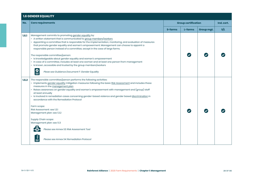| <b>1.6 GENDER EQUALITY</b> |                                                                                                                                                                                                                                                                                                                                                                                                                                                                                                                                                                                                                                                                                                     |                            |         |            |            |
|----------------------------|-----------------------------------------------------------------------------------------------------------------------------------------------------------------------------------------------------------------------------------------------------------------------------------------------------------------------------------------------------------------------------------------------------------------------------------------------------------------------------------------------------------------------------------------------------------------------------------------------------------------------------------------------------------------------------------------------------|----------------------------|---------|------------|------------|
| No.                        | <b>Core requirements</b>                                                                                                                                                                                                                                                                                                                                                                                                                                                                                                                                                                                                                                                                            | <b>Group certification</b> |         |            | Ind. cert. |
|                            |                                                                                                                                                                                                                                                                                                                                                                                                                                                                                                                                                                                                                                                                                                     | S-farms                    | L-farms | Group mgt. | S/L        |
| 1.6.1                      | Management commits to promoting gender equality by:<br>• A written statement that is communicated to group members/workers<br>• Appointing a committee that is responsible for the implementation, monitoring, and evaluation of measures<br>that promote gender equality and women's empowerment. Management can choose to appoint a<br>responsible person instead of a committee, except in the case of large farms.<br>The responsible committee/person:<br>· Is knowledgeable about gender equality and women's empowerment<br>· In case of a committee, includes at least one woman and at least one person from management<br>• Is known, accessible and trusted by the group members/workers |                            |         |            |            |
|                            | $\overset{\circ}{=}$<br>Pleae see Guidance Document F: Gender Equality                                                                                                                                                                                                                                                                                                                                                                                                                                                                                                                                                                                                                              |                            |         |            |            |
| 1.6.2                      | The responsible committee/person performs the following activities:<br>• Implements gender equality mitigation measures following the basic Risk Assessment and includes these<br>measures in the management plan<br>• Raises awareness on gender equality and women's empowerment with management and (group) staff<br>at least annually<br>· Is involved in remediation cases concerning gender-based violence and gender based discrimination in<br>accordance with the Remediation Protocol                                                                                                                                                                                                     |                            |         |            |            |
|                            | Farm scope:<br>Risk Assessment: see 1.3.1<br>Management plan: see 1.3.2                                                                                                                                                                                                                                                                                                                                                                                                                                                                                                                                                                                                                             |                            |         |            |            |
|                            | Supply Chain scope:<br>Management plan: see 1.1.3                                                                                                                                                                                                                                                                                                                                                                                                                                                                                                                                                                                                                                                   |                            |         |            |            |
|                            | Please see Annex S3: Risk Assessment Tool                                                                                                                                                                                                                                                                                                                                                                                                                                                                                                                                                                                                                                                           |                            |         |            |            |
|                            | Please see Annex S4: Remediation Protocol                                                                                                                                                                                                                                                                                                                                                                                                                                                                                                                                                                                                                                                           |                            |         |            |            |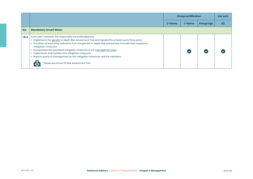|       |                                                                                                                                                                                                                                                                                                                                                                                                                                                                                                                                                                                    | <b>Group certification</b> |         |            | Ind. cert. |
|-------|------------------------------------------------------------------------------------------------------------------------------------------------------------------------------------------------------------------------------------------------------------------------------------------------------------------------------------------------------------------------------------------------------------------------------------------------------------------------------------------------------------------------------------------------------------------------------------|----------------------------|---------|------------|------------|
|       |                                                                                                                                                                                                                                                                                                                                                                                                                                                                                                                                                                                    | S-farms                    | L-farms | Group mgt. | S/L        |
| No.   | <b>Mandatory Smart Meter</b>                                                                                                                                                                                                                                                                                                                                                                                                                                                                                                                                                       |                            |         |            |            |
| 1.6.3 | From year 1 onwards, the responsible committee/person:<br>· Implements the gender in-depth Risk Assessment Tool and repeats this at least every three years<br>• Prioritizes at least three indicators from the gender in-depth Risk Assessment Tool with their respective<br>mitigation measures<br>• Incorporates the prioritized mitigation measures in the management plan<br>• Implements and monitors the mitigation measures<br>• Reports yearly to management on the mitigation measures and the indicators<br>Please see Annex S3: Risk Assessment Tool<br>$-\mathcal{E}$ |                            |         |            |            |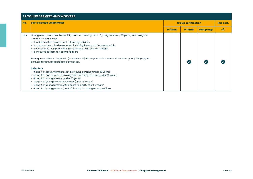| <b>1.7 YOUNG FARMERS AND WORKERS</b> |                                                                                                                                                                                                                                                                                                                                                                                                                                                                                                                                                                                                                                                                                                                                                                                                                                                                                                                                                                                       |                            |         |            |            |  |
|--------------------------------------|---------------------------------------------------------------------------------------------------------------------------------------------------------------------------------------------------------------------------------------------------------------------------------------------------------------------------------------------------------------------------------------------------------------------------------------------------------------------------------------------------------------------------------------------------------------------------------------------------------------------------------------------------------------------------------------------------------------------------------------------------------------------------------------------------------------------------------------------------------------------------------------------------------------------------------------------------------------------------------------|----------------------------|---------|------------|------------|--|
| No.                                  | <b>Self-Selected Smart Meter</b>                                                                                                                                                                                                                                                                                                                                                                                                                                                                                                                                                                                                                                                                                                                                                                                                                                                                                                                                                      | <b>Group certification</b> |         |            | Ind. cert. |  |
|                                      |                                                                                                                                                                                                                                                                                                                                                                                                                                                                                                                                                                                                                                                                                                                                                                                                                                                                                                                                                                                       | S-farms                    | L-farms | Group mgt. | S/L        |  |
| 1.7.1                                | Management promotes the participation and development of young persons (< 35 years) in farming and<br>management activities.<br>• It motivates their involvement in farming activities<br>• It supports their skills development, including literacy and numeracy skills<br>• It encourages their participation in training and in decision making<br>• It encourages them to become farmers<br>Management defines targets for (a selection of) the proposed indicators and monitors yearly the progress<br>on these targets, disaggregated by gender.<br>Indicators:<br>• # and % of group members that are young persons (under 35 years)<br>• # and % of participants in training that are young persons (under 35 years)<br>• # and % of young trainers (under 35 years)<br># and % of young internal inspectors (under 35 years)<br>$\cdot$ # and % of young farmers with access to land (under 35 years)<br>• # and % of young persons (under 35 years) in management positions |                            |         |            |            |  |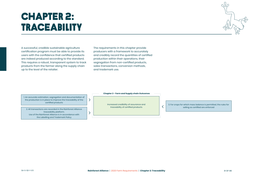# chapter 2: TRACEABiLITY

A successful, credible sustainable agriculture certification program must be able to provide its users with the confidence that certified products are indeed produced according to the standard. This requires a robust, transparent system to track products from the farmer along the supply chain up to the level of the retailer.

The requirements in this chapter provide producers with a framework to accurately and credibly record the quantities of certified production within their operations, their segregation from non-certified products, sales transactions, conversion methods, and trademark use.

1. An accurate estimation, segregation and documentation of the production is in place to improve the traceability of the certified products

 $\left\langle \right\rangle$ 

 $\left\langle \right\rangle$ 

2. All transactions are recorded in the Rainforest Alliance traceability platform. Use of the Rainforest Alliance is in accordance with the Labelling and Trademark Policy

**Chapter 2 - Farm and Supply chain Outcomes**

Increased credibility of assurance and traceability of certified products

≺

3. For crops for which mass balance is permitted, the rules for selling as certified are enforced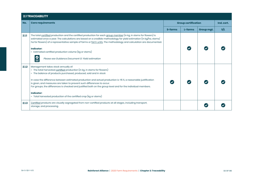|       | <b>2.1 TRACEABILITY</b>                                                                                                                                                                                                                                                                                                                                                                                                                                                                                                                                                                  |                            |         |            |            |  |
|-------|------------------------------------------------------------------------------------------------------------------------------------------------------------------------------------------------------------------------------------------------------------------------------------------------------------------------------------------------------------------------------------------------------------------------------------------------------------------------------------------------------------------------------------------------------------------------------------------|----------------------------|---------|------------|------------|--|
| No.   | <b>Core requirements</b>                                                                                                                                                                                                                                                                                                                                                                                                                                                                                                                                                                 | <b>Group certification</b> |         |            | Ind. cert. |  |
|       |                                                                                                                                                                                                                                                                                                                                                                                                                                                                                                                                                                                          | S-farms                    | L-farms | Group mgt. | S/L        |  |
| 2.1.1 | The total certified production and the certified production for each group member (in kg, in stems for flowers) is<br>estimated once a year. The calculations are based on a credible methodology for yield estimation (in kg/ha, stems/<br>ha for flowers) of a representative sample of farms or farm units. The methodology and calculation are documented.<br><b>Indicator:</b><br>• Estimated certified production volume (kg or stems)<br>Please see Guidance Document G: Yield estimation                                                                                         |                            |         |            |            |  |
| 2.1.2 | Management takes stock annually of:<br>• The total harvested certified production (in kg, in stems for flowers)<br>• The balance of products purchased, produced, sold and in stock<br>In case the difference between estimated production and actual production is >15 %, a reasonable justification<br>is given, and measures are taken to prevent such differences to occur.<br>For groups, the differences is checked and justified both on the group level and for the individual members.<br><b>Indicator:</b><br>• Total harvested production of the certified crop (kg or stems) |                            |         |            |            |  |
| 2.1.3 | Certified products are visually segregated from non-certified products at all stages, including transport,<br>storage, and processing.                                                                                                                                                                                                                                                                                                                                                                                                                                                   |                            |         |            |            |  |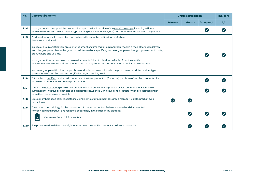| No.    | <b>Core requirements</b>                                                                                                                                                                                                                                                      | <b>Group certification</b> |                      |            | Ind. cert. |
|--------|-------------------------------------------------------------------------------------------------------------------------------------------------------------------------------------------------------------------------------------------------------------------------------|----------------------------|----------------------|------------|------------|
|        |                                                                                                                                                                                                                                                                               | S-farms                    | L-farms              | Group mgt. | S/L        |
| 2.1.4  | Management has mapped the product flow up to the final location of the certificate scope, including all inter-<br>mediaries (collection points, transport, processing units, warehouses, etc.) and activities carried out on the product.                                     |                            |                      |            |            |
| 2.1.5  | Products that are sold as certified can be traced back to the certified farm(s) where<br>these were produced.                                                                                                                                                                 |                            |                      |            |            |
|        | In case of group certification, group management ensures that group members receive a receipt for each delivery<br>from the group member to the group or an intermediary, specifying name of group member, group member ID, date,<br>product type and volume.                 |                            |                      |            |            |
|        | Management keeps purchase and sales documents linked to physical deliveries from the certified,<br>multi-certified and non-certified products, and management ensures that all intermediaries do the same.                                                                    |                            |                      |            |            |
|        | In case of group certification, the purchase and sale documents include the group member, date, product type,<br>(percentage of) certified volume and, if relevant, traceability level.                                                                                       |                            |                      |            |            |
| 2.1.6  | Total sales of certified products do not exceed the total production (for farms), purchase of certified products plus<br>remaining stock balance from the previous year.                                                                                                      |                            |                      |            |            |
| 2.1.7  | There is no double selling of volumes: products sold as conventional product or sold under another scheme or<br>sustainability initiative are not also sold as Rainforest Alliance Certified. Selling products which are certified under<br>more than one scheme is possible. |                            |                      |            |            |
| 2.1.8  | Group members keep sales receipts, including name of group member, group member ID, date, product type,<br>and volume.                                                                                                                                                        |                            | $\blacktriangledown$ |            |            |
| 2.1.9  | The correct methodology for the calculation of conversion factors is demonstrated and documented<br>for each certified product and reflected accordingly in the traceability platform.<br>Please see Annex S6: Traceability                                                   |                            |                      |            |            |
| 2.1.10 | Equipment used to define the weight or volume of the certified product is calibrated annually.                                                                                                                                                                                |                            |                      |            |            |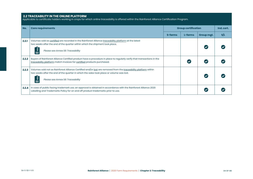### **2.2 TRACEABILITY IN THE ONLINE PLATFORM**

Applicable to certificate holders working in crops for which online traceability is offered within the Rainforest Alliance Certification Program.

| No.   | <b>Core requirements</b>                                                                                                                                                                                                                         | <b>Group certification</b> |         |            | Ind. cert. |
|-------|--------------------------------------------------------------------------------------------------------------------------------------------------------------------------------------------------------------------------------------------------|----------------------------|---------|------------|------------|
|       |                                                                                                                                                                                                                                                  | <b>S-farms</b>             | L-farms | Group mgt. | S/L        |
| 2.2.1 | Volumes sold as certified are recorded in the Rainforest Alliance traceability platform at the latest<br>two weeks after the end of the quarter within which the shipment took place.<br>Please see Annex S6: Traceability                       |                            |         |            |            |
| 2.2.2 | Buyers of Rainforest Alliance Certified product have a procedure in place to regularly verify that transactions in the<br>traceability platform match invoices for certified products purchased.                                                 |                            |         |            |            |
| 2.2.3 | Volumes sold not as Rainforest Alliance Certified and/or lost are removed from the traceability platform within<br>two weeks after the end of the quarter in which the sales took place or volume was lost.<br>Please see Annex S6: Traceability |                            |         |            |            |
| 2.2.4 | In case of public facing trademark use, an approval is obtained in accordance with the Rainforest Alliance 2020<br>Labelling and Trademarks Policy for on and off product trademarks prior to use.                                               |                            |         |            |            |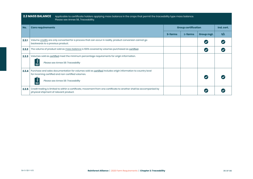| <b>2.3 MASS BALANCE</b><br>Applicable to certificate holders applying mass balance in the crops that permit the traceability type mass balance.<br>Please see Annex S6, Traceability. |                                                                                                                                                                                                       |         |                            |                      |            |  |
|---------------------------------------------------------------------------------------------------------------------------------------------------------------------------------------|-------------------------------------------------------------------------------------------------------------------------------------------------------------------------------------------------------|---------|----------------------------|----------------------|------------|--|
| No.                                                                                                                                                                                   | <b>Core requirements</b>                                                                                                                                                                              |         | <b>Group certification</b> |                      | Ind. cert. |  |
|                                                                                                                                                                                       |                                                                                                                                                                                                       | S-farms | L-farms                    | Group mgt.           | S/L        |  |
| 2.3.1                                                                                                                                                                                 | Volume credits are only converted for a process that can occur in reality, product conversion cannot go<br>backwards to a previous product.                                                           |         |                            |                      |            |  |
| 2.3.2                                                                                                                                                                                 | The volume of product sold as mass balance is 100% covered by volumes purchased as certified.                                                                                                         |         |                            | $\blacktriangledown$ |            |  |
| 2.3.3                                                                                                                                                                                 | Volumes sold as certified meet the minimum percentage requirements for origin information.<br>Please see Annex S6: Traceability                                                                       |         |                            |                      |            |  |
| 2.3.4                                                                                                                                                                                 | Purchase and sales documentation for volumes sold as certified includes origin information to country level<br>for incoming certified and non-certified volumes.<br>Please see Annex S6: Traceability |         |                            |                      |            |  |
| 2.3.5                                                                                                                                                                                 | Credit trading is limited to within a certificate, movement from one certificate to another shall be accompanied by<br>physical shipment of relevant product.                                         |         |                            | $\blacktriangledown$ |            |  |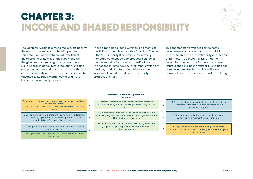# **CHAPTER 3:** Incomeand shared responsibility

 $\left\langle \right\rangle$ 

 $\left\langle \right\rangle$ 



The Rainforest Alliance aims to make sustainability the norm in the sectors in which it operates. This entails a fundamental transformation of the operating principles of the supply chain in the given sector – moving to a system where sustainability in agricultural production is valued and priced as a material service on top of the cost of the commodity and the investments needed to advance sustainability practices at origin are borne by market and producer.

These aims can be found within two elements of the 2020 Sustainable Agriculture Standard. The first is the Sustainability Differential, a mandatory monetary payment paid to producers on top of the market price for the sale of certified crop. The second is Sustainability Investments which are made by market actors to contribute to the investments needed to drive sustainability progress at origin.

This chapter starts with two self-selected requirements on production costs and living income to enhance the profitability and income of farmers. The concept of living income recognizes the goal that farmers are able to improve their business profitability and at least earn an income to allow their families and households to have a decent standard of living.

### **Chapter 3 - Farm and Supply chain Outcomes**

1. Net income of group members is assessed against the Living Income benchmark Data on costs of production costs are collected to calculate income

2. Group management transfers the sustainability differential in cash to group members. Farm management uses the sustainability differential to benefit workers

3. Management defines the investments needed to improve on sustainability

3. Group members and workers are consulted on the shared investments

Farmers, workers and their families have an improved standard of living [toward the living wage or living income level]

Group management channels the sustainability differential effectively to group members and farm management spends SD in the benefit of workers

Sustainability Investment is effectively used by farms and groups to support key sustainability practices and improvements

3. The buyer of certified products pay the Sustainability Differential in the form of a cash payment on top of the market price

 $\overline{\langle}$ 

 $\overline{\left\langle \right\rangle }$ 

3. The buyer of certified products contribute to the Sustainability Investment plans of the farms

4. Supply chain actors are contributing with financial or other type of investment to the wage improvement plan of the farms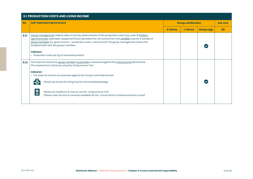|       | <b>3.1 PRODUCTION COSTS AND LIVING INCOME</b>                                                                                                                                                                                                                                                                                                                                                                                           |                            |         |            |            |  |  |  |  |  |
|-------|-----------------------------------------------------------------------------------------------------------------------------------------------------------------------------------------------------------------------------------------------------------------------------------------------------------------------------------------------------------------------------------------------------------------------------------------|----------------------------|---------|------------|------------|--|--|--|--|--|
| No.   | <b>Self-Selected Improvement</b>                                                                                                                                                                                                                                                                                                                                                                                                        | <b>Group certification</b> |         |            | Ind. cert. |  |  |  |  |  |
|       |                                                                                                                                                                                                                                                                                                                                                                                                                                         | S-farms                    | L-farms | Group mgt. | S/L        |  |  |  |  |  |
| 3.1.1 | Group management collects data on the key determinants of the production costs (e.g. costs of fertilizer,<br>agrochemicals, paid labor, equipment) and calculates the net income from the certified crop for a sample of<br>group members (i.e. gross income - production costs = net income). The group management shares the<br>analyzed data with the group members.<br>Indicator:<br>• Production costs per kg of harvested product |                            |         |            |            |  |  |  |  |  |
| 3.1.2 | The total net income for group member households is assessed against the Living Income Benchmark.<br>The assessment is done by using the Living Income Tool.                                                                                                                                                                                                                                                                            |                            |         |            |            |  |  |  |  |  |
|       | <b>Indicator:</b><br>• The total net income as assessed against the Living Income Benchmark<br>Please see Annex S5: Living Income Tool and Methodology                                                                                                                                                                                                                                                                                  |                            |         |            |            |  |  |  |  |  |
|       | $\boldsymbol{\omega}$<br>Please see Guidance Q: How to use the Living Income Tool<br>$\equiv$<br>(Please note: the tool is currently available for the Cocoa Sector in Ghana and Ivory Coast)                                                                                                                                                                                                                                           |                            |         |            |            |  |  |  |  |  |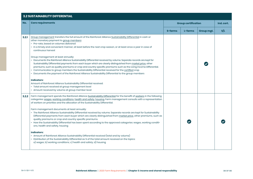# **3.2 SUSTAINABILITY DIFFERENTIAL**

| No.   | <b>Core requirements</b>                                                                                                                                                                                                                                                                                                                                                                                                                                                                                                                                                                                                                                                                                                                                                                                                                                                                                                                                                                                                                                                                                                                                |         | <b>Group certification</b> |            |     |
|-------|---------------------------------------------------------------------------------------------------------------------------------------------------------------------------------------------------------------------------------------------------------------------------------------------------------------------------------------------------------------------------------------------------------------------------------------------------------------------------------------------------------------------------------------------------------------------------------------------------------------------------------------------------------------------------------------------------------------------------------------------------------------------------------------------------------------------------------------------------------------------------------------------------------------------------------------------------------------------------------------------------------------------------------------------------------------------------------------------------------------------------------------------------------|---------|----------------------------|------------|-----|
|       |                                                                                                                                                                                                                                                                                                                                                                                                                                                                                                                                                                                                                                                                                                                                                                                                                                                                                                                                                                                                                                                                                                                                                         | S-farms | L-farms                    | Group mgt. | S/L |
| 3.2.1 | Group management transfers the full amount of the Rainforest Alliance Sustainability Differential in cash or<br>other monetary payment to group members:<br>· Pro-rata, based on volumes delivered<br>• In a timely and convenient manner, at least before the next crop season, or at least once a year in case of<br>continuous harvest<br>Group management at least annually:<br>· Documents the Rainforest Alliance Sustainability Differential received by volume. Separate records are kept for<br>Sustainability Differential payments from each buyer which are clearly distinguished from market price, other<br>premiums, such as quality premiums or crop and country specific premiums such as the Living Income Differential.<br>Communicates to group members the Sustainability Differential received for the certified crop<br>Documents the payment of the Rainforest Alliance Sustainability Differential to the group members<br><b>Indicators:</b><br>Amount of Rainforest Alliance Sustainability Differential received:<br>• Total amount received at group management level<br>• Amount received by volume at group member level |         |                            |            |     |
| 3.2.2 | Farm management spends the Rainforest Alliance Sustainability Differential for the benefit of workers in the following<br>categories: wages, working conditions, health and safety, housing. Farm management consults with a representation<br>of workers on priorities and the allocation of the Sustainability Differential.<br>Farm management documents at least annually:<br>• The Rainforest Alliance Sustainability Differential received by volume. Separate records are kept for Sustainability<br>Differential payments from each buyer which are clearly distinguished from market price, other premiums, such as<br>quality premiums or crop and country specific premiums.<br>• How the Sustainability Differential has been spent according to the approved categories: wages, working conditi-<br>ons, health and safety, housing<br><b>Indicators:</b><br>• Amount of Rainforest Alliance Sustainability Differential received (total and by volume)<br>• Distribution of the Sustainability Differential as % of the total amount received on the topics:<br>a) wages; b) working conditions; c) health and safety; d) housing         |         |                            |            |     |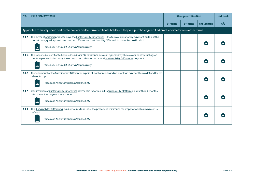| No.   | <b>Core requirements</b>                                                                                                                                                                                                                                                          | <b>Group certification</b> |         |            | Ind. cert. |
|-------|-----------------------------------------------------------------------------------------------------------------------------------------------------------------------------------------------------------------------------------------------------------------------------------|----------------------------|---------|------------|------------|
|       |                                                                                                                                                                                                                                                                                   | S-farms                    | L-farms | Group mgt. | S/L        |
|       | Applicable to supply chain certificate holders and to farm certificate holders if they are purchasing certified product directly from other farms.                                                                                                                                |                            |         |            |            |
| 3.2.3 | The buyer of certified products pays the Sustainability Differential in the form of a monetary payment on top of the<br>market price, quality premiums or other differentials. Sustainability Differential cannot be paid in kind.<br>Please see Annex S14: Shared Responsibility |                            |         |            |            |
| 3,2.4 | The responsible certificate holders (see Annex S14 for further detail on applicability) have clear contractual agree-<br>ments in place which specify the amount and other terms around Sustainability Differential payment.<br>Please see Annex S14: Shared Responsibility       |                            |         |            |            |
| 3.2.5 | The full amount of the Sustainability Differential is paid at least annually and no later than payment terms defined for the<br>relevant crop.<br>Please see Annex S14: Shared Responsibility                                                                                     |                            |         |            |            |
| 3.2.6 | Confirmation of Sustainability Differential payment is recorded in the traceability platform no later than 3 months<br>after the actual payment was made.<br>Please see Annex S14: Shared Responsibility                                                                          |                            |         |            |            |
| 3.2.7 | The Sustainability Differential paid amounts to at least the prescribed minimum, for crops for which a minimum is<br>defined.<br>Please see Annex S14: Shared Responsibility                                                                                                      |                            |         |            |            |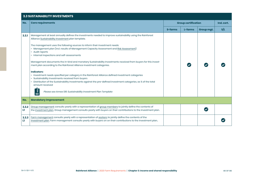# **3.3 SUSTAINABILITY INVESTMENTS**

| No.        | <b>Core requirements</b>                                                                                                                                                                                                                                                                                                                                                           | <b>Group certification</b> |         |            | Ind. cert. |  |
|------------|------------------------------------------------------------------------------------------------------------------------------------------------------------------------------------------------------------------------------------------------------------------------------------------------------------------------------------------------------------------------------------|----------------------------|---------|------------|------------|--|
|            |                                                                                                                                                                                                                                                                                                                                                                                    | S-farms                    | L-farms | Group mgt. | S/L        |  |
| 3.3.1      | Management at least annually defines the investments needed to improve sustainability using the Rainforest<br>Alliance Sustainability Investment plan template.                                                                                                                                                                                                                    |                            |         |            |            |  |
|            | The management uses the following sources to inform their investment needs:<br>• Management plan (incl. results of Management Capacity Assessment and Risk Assessment)<br>• Audit reports<br>• Internal inspections and self-assessments                                                                                                                                           |                            |         |            |            |  |
|            | Management documents the in-kind and monetary Sustainability Investments received from buyers for this invest-<br>ment plan according to the Rainforest Alliance investment categories.                                                                                                                                                                                            |                            |         |            |            |  |
|            | <b>Indicators:</b><br>· Investment needs specified per category in the Rainforest Alliance defined investment categories<br>Sustainability Investments received from buyers<br>Distribution of the Sustainability Investments against the pre-defined investment categories, as % of the total<br>amount received<br>Please see Annex S16: Sustainability Investment Plan Template |                            |         |            |            |  |
| No.        | <b>Mandatory Improvement</b>                                                                                                                                                                                                                                                                                                                                                       |                            |         |            |            |  |
| 3,3,2<br>ш | Group management consults yearly with a representation of group members to jointly define the contents of<br>the investment plan. Group management consults yearly with buyers on their contributions to the investment plan.                                                                                                                                                      |                            |         |            |            |  |
| 3,3,3<br>ш | Farm management consults yearly with a representation of workers to jointly define the contents of the<br>investment plan. Farm management consults yearly with buyers on on their contributions to the investment plan                                                                                                                                                            |                            |         |            |            |  |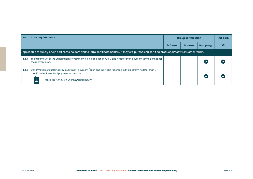| No.   | <b>Core requirements</b>                                                                                                                                                                                     | <b>Group certification</b> |         |            | Ind. cert. |
|-------|--------------------------------------------------------------------------------------------------------------------------------------------------------------------------------------------------------------|----------------------------|---------|------------|------------|
|       |                                                                                                                                                                                                              | S-farms                    | L-farms | Group mgt. | S/L        |
|       | Applicable to supply chain certificate holders and to farm certificate holders if they are purchasing certified product directly from other farms.                                                           |                            |         |            |            |
| 3.3.4 | The full amount of the Sustainability Investment is paid at least annually and no later than payment terms defined for<br>the relevant crop.                                                                 |                            |         |            |            |
| 3,3,5 | Confirmation of Sustainability Investment payment (cash and in kind) is recorded in the platform no later than 3<br>months after the actual payment was made.<br>Please see Annex S14: Shared Responsibility |                            |         |            |            |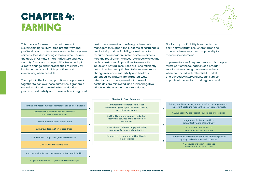# chapter 4: **FARMING**



This chapter focuses on the outcomes of sustainable agriculture, crop productivity and profitability, and natural resources and ecosystem services. Included amongst these outcomes are the goals of Climate Smart Agriculture and food security: farms and groups mitigate and adapt to climate change and increase their resiliency by implementing sustainable practices and diversifying when possible.

The topics in the farming practices chapter work together to achieve these outcomes. Agronomic activities related to sustainable production practices, soil fertility and conservation, integrated

pest management, and safe agrochemicals management support the outcome of sustainable productivity and profitability, as well as natural resource conservation and ecosystem services. Here the requirements encourage locally-relevant and context-specific practices to ensure that inputs and natural resources are used efficiently, natural cycles are optimized to increase climate change resilience, soil fertility and health is enhanced, pollinators are attracted, water retention and management is improved, pesticides are minimized, and further negative effects on the environment are reduced.

Finally, crop profitability is supported by post-harvest practices, where farms and groups achieve improved crop quality to meet market demand.

Implementation of requirements in this chapter forms part of the foundation of a broader set of sustainable agriculture activities, so when combined with other field, market, and advocacy interventions, can support impacts at the sectoral and regional level.



**Chapter 4 - Farm Outcomes**

Farm resilience is increased through climate change adaptation, diversification, and other measures

Soil fertility, water resources, and other ecosystem services are maintained or enhanced

Farmers have optimized crop productivity, input use efficiency, and profitability

Reduced environmental and health risks from pesticides

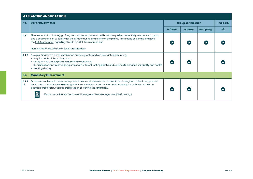|            | <b>4.1 PLANTING AND ROTATION</b>                                                                                                                                                                                                                                                                                                                                                 |         |                            |            |     |  |  |  |
|------------|----------------------------------------------------------------------------------------------------------------------------------------------------------------------------------------------------------------------------------------------------------------------------------------------------------------------------------------------------------------------------------|---------|----------------------------|------------|-----|--|--|--|
| No.        | <b>Core requirements</b>                                                                                                                                                                                                                                                                                                                                                         |         | <b>Group certification</b> |            |     |  |  |  |
|            |                                                                                                                                                                                                                                                                                                                                                                                  | S-farms | L-farms                    | Group mgt. | S/L |  |  |  |
| 4.1.1      | Plant varieties for planting, grafting and renovation are selected based on quality, productivity, resistance to pests<br>and diseases and on suitability for the climate during the lifetime of the plants. This is done as per the findings of<br>the Risk Assessment regarding climate (1.3.5), if this is carried out.<br>Planting materials are free of pests and diseases. |         |                            |            |     |  |  |  |
| 4.1.2      | New plantings have a well-established cropping system which takes into account e.g.<br>• Requirements of the variety used<br>Geographical, ecological and agronomic conditions<br>Diversification and intercropping crops with different rooting depths and soil uses to enhance soil quality and health<br>$\bullet$<br>• Planting density                                      |         |                            |            |     |  |  |  |
| No.        | <b>Mandatory Improvement</b>                                                                                                                                                                                                                                                                                                                                                     |         |                            |            |     |  |  |  |
| 4.1.3<br>Ш | Producers implement measures to prevent pests and diseases and to break their biological cycles, to support soil<br>health and to improve weed management. Such measures can include intercropping, and measures taken in<br>between crop cycles, such as crop rotation or leaving the land fallow.<br>Please see Guidance Document H: Integrated Pest Management (IPM) Strategy |         |                            |            |     |  |  |  |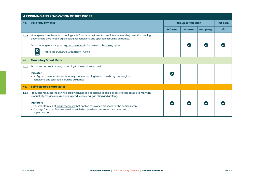|       | <b>4.2 PRUNING AND RENOVATION OF TREE CROPS</b>                                                                                                                                                                              |         |                            |            |     |  |  |
|-------|------------------------------------------------------------------------------------------------------------------------------------------------------------------------------------------------------------------------------|---------|----------------------------|------------|-----|--|--|
| No.   | <b>Core requirements</b>                                                                                                                                                                                                     |         | <b>Group certification</b> |            |     |  |  |
|       |                                                                                                                                                                                                                              | S-farms | L-farms                    | Group mgt. | s/L |  |  |
| 4.2.1 | Management implements a pruning cycle for adequate formation, maintenance and rejuvenation pruning<br>according to crop needs, agro-ecological conditions and applicable pruning guidelines.                                 |         |                            |            |     |  |  |
|       | Group management supports group members to implement this pruning cycle.                                                                                                                                                     |         |                            |            |     |  |  |
|       | $\boldsymbol{O}$<br>Please see Guidance Document I: Pruning                                                                                                                                                                  |         |                            |            |     |  |  |
| No.   | <b>Mandatory Smart Meter</b>                                                                                                                                                                                                 |         |                            |            |     |  |  |
| 4.2.2 | Producers carry out pruning according to the requirement in 4.2.1                                                                                                                                                            |         |                            |            |     |  |  |
|       | Indicator:<br>• % of group members that adequately prune according to crop needs, agro-ecological<br>conditions and applicable pruning guidelines                                                                            |         |                            |            |     |  |  |
| No.   | <b>Self-selected Smart Meter</b>                                                                                                                                                                                             |         |                            |            |     |  |  |
| 4.2.3 | Producers renovate the certified crop when needed according to age, disease or other causes, to maintain<br>productivity. This includes replanting production area, gap filling and grafting.                                |         |                            |            |     |  |  |
|       | <b>Indicators:</b><br>• For small farms: % of group members that applied renovation practices for the certified crop<br>• For large farms: % of farm area with certified crops where renovation practices are<br>implemented |         |                            |            |     |  |  |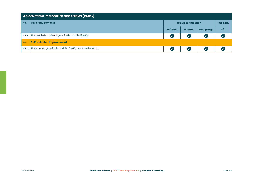|       | <b>4.3 GENETICALLY MODIFIED ORGANISMS <math>(GMOS)</math></b>    |                            |            |                      |     |  |  |  |
|-------|------------------------------------------------------------------|----------------------------|------------|----------------------|-----|--|--|--|
| No.   | <b>Core requirements</b>                                         | <b>Group certification</b> | Ind. cert. |                      |     |  |  |  |
|       |                                                                  | S-farms                    | L-farms    | Group mgt.           | S/L |  |  |  |
| 4.3.1 | The certified crop is not genetically modified (GMO).            | (V                         | (V         | $\blacktriangledown$ |     |  |  |  |
| No.   | <b>Self-selected Improvement</b>                                 |                            |            |                      |     |  |  |  |
|       | 4.3.2 There are no genetically modified (GMO) crops on the farm. | (V                         | (V         | $\blacktriangledown$ |     |  |  |  |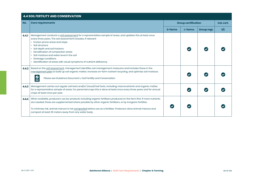#### **4.4 SOIL FERTILITY AND CONSERVATION No. Core requirements Group certification Ind. cert. S-farms L-farms Group mgt. S/L 4.4.1** Management conducts a soil assessment for a representative sample of areas, and updates this at least once every three years. The soil assessment includes, if relevant: • Erosion prone areas and slope • Soil structure • Soil depth and soil horizons  $\bullet$  $\bullet$  $\overline{\mathcal{L}}$ • Densification of compaction areas • Soil moisture and water level in the soil • Drainage conditions • Identification of areas with visual symptoms of nutrient deficiency **4.4.2** Based on the soil assessment, management identifies soil management measures and includes these in the management plan to build up soil organic matter, increase on-farm nutrient recycling, and optimize soil moisture.  $\bullet$  $\bullet$  $\overline{\mathcal{L}}$  *Please see Guidance Document J: Soil Fertility and Conservation* **4.4.3** Management carries out regular soil tests and/or (visual) leaf tests, including macronutrients and organic matter,  $\bullet$  $\bullet$ for a representative sample of areas. For perennial crops this is done at least once every three years and for annual  $\bullet$ crops at least once per year. **4.4.4** When available, producers use by-products including organic fertilizers produced on the farm first. If more nutrients are needed, these are supplemented where possible by other organic fertilizers, or by inorganic fertilizer.  $\bullet$  $\bullet$  $\bullet$ To minimize risk, animal manure is hot composted before use as a fertilizer. Producers store animal manure and compost at least 25 meters away from any water body.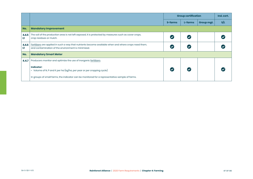|            |                                                                                                                                                             | <b>Group certification</b> |         |            | Ind. cert. |
|------------|-------------------------------------------------------------------------------------------------------------------------------------------------------------|----------------------------|---------|------------|------------|
|            |                                                                                                                                                             | S-farms                    | L-farms | Group mgt. | s/L        |
| No.        | <b>Mandatory Improvement</b>                                                                                                                                |                            |         |            |            |
| 4.4.5<br>ш | The soil of the production area is not left exposed, it is protected by measures such as cover crops,<br>crop residues or mulch.                            |                            |         |            |            |
| 4.4.6<br>ш | Fertilizers are applied in such a way that nutrients become available when and where crops need them,<br>and contamination of the environment is minimized. |                            |         |            |            |
| No.        | <b>Mandatory Smart Meter</b>                                                                                                                                |                            |         |            |            |
| 4.4.7      | Producers monitor and optimize the use of inorganic fertilizers.                                                                                            |                            |         |            |            |
|            | <b>Indicator:</b><br>• Volume of N, P and K per ha (kg/ha, per year or per cropping cycle)                                                                  |                            |         |            |            |
|            | In groups of small farms, the indicator can be monitored for a representative sample of farms.                                                              |                            |         |            |            |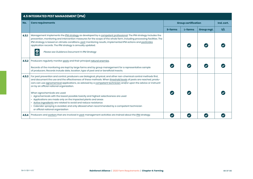|       | <b>4.5 INTEGRATED PEST MANAGEMENT (IPM)</b>                                                                                                                                                                                                                                                                                                                                                                                                                                                                                                                                                                                                                                                                                                                                                        |         |                            |            |     |  |  |
|-------|----------------------------------------------------------------------------------------------------------------------------------------------------------------------------------------------------------------------------------------------------------------------------------------------------------------------------------------------------------------------------------------------------------------------------------------------------------------------------------------------------------------------------------------------------------------------------------------------------------------------------------------------------------------------------------------------------------------------------------------------------------------------------------------------------|---------|----------------------------|------------|-----|--|--|
| No.   | <b>Core requirements</b>                                                                                                                                                                                                                                                                                                                                                                                                                                                                                                                                                                                                                                                                                                                                                                           |         | <b>Group certification</b> |            |     |  |  |
|       |                                                                                                                                                                                                                                                                                                                                                                                                                                                                                                                                                                                                                                                                                                                                                                                                    | S-farms | L-farms                    | Group mgt. | s/L |  |  |
| 4.5.1 | Management implements the IPM strategy as developed by a competent professional. The IPM strategy includes the<br>prevention, monitoring and intervention measures for the scope of the whole farm, including processing facilities. The<br>IPM strategy is based on climate conditions, pest monitoring results, implemented IPM actions and pesticides<br>application records. The IPM strategy is annually updated.<br>$\boldsymbol{O}$<br>Please see Guidance Document H: IPM Strategy                                                                                                                                                                                                                                                                                                         |         |                            |            |     |  |  |
| 4.5.2 | Producers regularly monitor pests and their principal natural enemies.<br>Records of the monitoring are kept by large farms and by group management for a representative sample<br>of producers. Records include date, location, type of pest and or beneficial insects.                                                                                                                                                                                                                                                                                                                                                                                                                                                                                                                           |         |                            |            |     |  |  |
| 4.5.3 | For pest prevention and control, producers use biological, physical, and other non-chemical control methods first,<br>and document the use and the effectiveness of these methods. When threshold levels of pests are reached, produ-<br>cers can use agrochemical applications, as advised by a competent technician and/or upon the advice or instructi-<br>on by an official national organization.<br>When agrochemicals are used:<br>• Agrochemicals with the lowest possible toxicity and highest selectiveness are used<br>• Applications are made only on the impacted plants and areas<br>Active ingredients are rotated to avoid and reduce resistance<br>Calendar spraying is avoided, and only allowed when recommended by a competent technician<br>or official national organization |         |                            |            |     |  |  |
| 4.5.4 | Producers and workers that are involved in pest management activities are trained about the IPM strategy.                                                                                                                                                                                                                                                                                                                                                                                                                                                                                                                                                                                                                                                                                          |         |                            |            |     |  |  |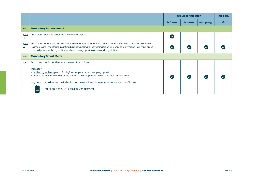|                         |                                                                                                                                                                                                                                                                                                                                                                                                       |         | <b>Group certification</b> |            | Ind. cert. |
|-------------------------|-------------------------------------------------------------------------------------------------------------------------------------------------------------------------------------------------------------------------------------------------------------------------------------------------------------------------------------------------------------------------------------------------------|---------|----------------------------|------------|------------|
|                         |                                                                                                                                                                                                                                                                                                                                                                                                       | S-farms | L-farms                    | Group mgt. | S/L        |
| No.                     | <b>Mandatory Improvement</b>                                                                                                                                                                                                                                                                                                                                                                          |         |                            |            |            |
| 4.5.5<br>LT.            | Producers have implemented the IPM strategy.                                                                                                                                                                                                                                                                                                                                                          |         |                            |            |            |
| 4.5.6<br>L <sub>2</sub> | Producers enhance natural ecosystems near crop production areas to increase habitat for natural enemies.<br>Examples are: insectaries, planting bird/bat/pollinator attracting trees and shrubs, converting low-lying areas<br>to small ponds with vegetation and enhancing riparian areas and vegetation.                                                                                            |         |                            |            |            |
| No.                     | <b>Mandatory Smart Meter</b>                                                                                                                                                                                                                                                                                                                                                                          |         |                            |            |            |
| 4.5.7                   | Producers monitor and reduce the use of pesticides.<br><b>Indicator</b><br>• Active ingredients per ha (a.i. kg/ha, per year or per cropping cycle)<br>• Active ingredients used that are listed in the Exceptional Use list and Risk Mitigation list<br>In groups of small farms, the indicator can be monitored for a representative sample of farms.<br>Please see Annex S7: Pesticides Management |         |                            |            |            |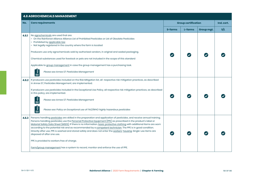# **4.6 AGROCHEMICALS MANAGEMENT No. Core requirements Group certification Ind. cert. S-farms L-farms Group mgt. S/L 4.6.1** No agrochemicals are used that are: • On the Rainforest Alliance Alliance List of Prohibited Pesticides or List of Obsolete Pesticides • Prohibited by applicable law • Not legally registered in the country where the farm is located Producers use only agrochemicals sold by authorized vendors, in original and sealed packaging.  $\boldsymbol{\mathcal{L}}$ Chemical substances used for livestock or pets are not included in the scope of this standard Applicable to group management in case the group management has a purchasing task. *Please see Annex S7: Pesticides Management* **4.6.2** If producers use pesticides included on the Risk Mitigation list, all respective risk mitigation practices, as described in Annex S7, Pesticides Management, are implemented. If producers use pesticides included in the Exceptional Use Policy, all respective risk mitigation practices, as described in this policy, are implemented. *Please see Annex S7: Pesticides Management Please see: Policy on Exceptional use of FAO/WHO highly hazardous pesticides* **4.6.3** Persons handling pesticides are skilled in the preparation and application of pesticides, and receive annual training. Persons handling pesticides use the Personal Protective Equipment (PPE) as prescribed in the product's label or Material Safety Data Sheet (MSDS). If there is no information, basic protective clothing with additional items are worn according to the potential risk and as recommended by a competent technician. The PPE is in good condition. Directly after use, PPE is washed and stored safely and does not enter the workers' housing. Single-use items are  $\overline{\mathcal{L}}$ disposed of after one use. PPE is provided to workers free of charge. Farm/group management has a system to record, monitor and enforce the use of PPE.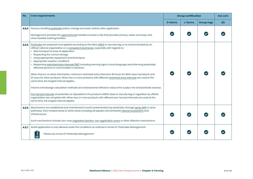| No.   | <b>Core requirements</b>                                                                                                                                                                                                                                                                                                                                                                                                                                                                                                                                                                                                                                                                                                                                                                                                                                                                                                                                                                                                                                                                                                                                                                                                               | <b>Group certification</b> |         |            | Ind. cert. |
|-------|----------------------------------------------------------------------------------------------------------------------------------------------------------------------------------------------------------------------------------------------------------------------------------------------------------------------------------------------------------------------------------------------------------------------------------------------------------------------------------------------------------------------------------------------------------------------------------------------------------------------------------------------------------------------------------------------------------------------------------------------------------------------------------------------------------------------------------------------------------------------------------------------------------------------------------------------------------------------------------------------------------------------------------------------------------------------------------------------------------------------------------------------------------------------------------------------------------------------------------------|----------------------------|---------|------------|------------|
|       |                                                                                                                                                                                                                                                                                                                                                                                                                                                                                                                                                                                                                                                                                                                                                                                                                                                                                                                                                                                                                                                                                                                                                                                                                                        | S-farms                    | L-farms | Group mgt. | s/L        |
| 4.6.4 | Persons handling pesticides bathe, change and wash clothes after application.<br>Management provides the agrochemical handlers at least a site that provides privacy, water and soap, and,<br>when feasible bathing facilities.                                                                                                                                                                                                                                                                                                                                                                                                                                                                                                                                                                                                                                                                                                                                                                                                                                                                                                                                                                                                        |                            |         |            |            |
| 4.6.5 | Pesticides are prepared and applied according to the label, MSDS or security tag, or as recommended by an<br>official national organization or a competent technician, especially with regards to:<br>• Safe transport to area of application<br>Respecting the correct dosage<br>• Using appropriate equipment and techniques<br>• Appropriate weather conditions<br>· Respecting restricted entry intervals (REI), including warning signs in local language and informing potentially<br>affected persons or communities in advance<br>When there is no other information, minimum restricted entry interval is 48 hours for WHO class II products and<br>12 hours for other products. When two or more products with different restricted entry intervals are used at the<br>same time, the longest interval applies.<br>Volume and dosage calculation methods are reviewed and refined to reduce the surplus mix and pesticide overuse.<br>Pre-harvest intervals of pesticides as stipulated in the product's MSDS, label or security tag or regulation by official<br>organization are complied with. When two or more products with different pre-harvest intervals are used at the<br>same time, the longest interval applies. |                            |         |            |            |
| 4.6.6 | Mechanisms are established and maintained to avoid contamination by pesticides, through spray drift or other<br>pathways, from treated areas to other areas including all aquatic and terrestrial natural ecosystems and<br>infrastructure.<br>Such mechanisms include non-crop vegetative barriers, non-application zones or other effective mechanisms.                                                                                                                                                                                                                                                                                                                                                                                                                                                                                                                                                                                                                                                                                                                                                                                                                                                                              |                            |         |            |            |
| 4.6.7 | Aerial application is only allowed under the conditions as outlined in Annex S7: Pesticides Management.<br>Please see Annex S7: Pesticides Management                                                                                                                                                                                                                                                                                                                                                                                                                                                                                                                                                                                                                                                                                                                                                                                                                                                                                                                                                                                                                                                                                  |                            |         |            |            |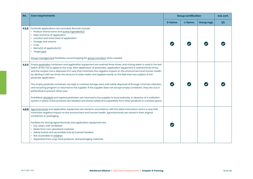| No.    | <b>Core requirements</b>                                                                                                                                                                                                                                                                                                                                                                                                                                                                                                                                                                                                                                                                                                                                                                                                                                                                                                                                                                                                                                | <b>Group certification</b> |         |            | Ind. cert. |
|--------|---------------------------------------------------------------------------------------------------------------------------------------------------------------------------------------------------------------------------------------------------------------------------------------------------------------------------------------------------------------------------------------------------------------------------------------------------------------------------------------------------------------------------------------------------------------------------------------------------------------------------------------------------------------------------------------------------------------------------------------------------------------------------------------------------------------------------------------------------------------------------------------------------------------------------------------------------------------------------------------------------------------------------------------------------------|----------------------------|---------|------------|------------|
|        |                                                                                                                                                                                                                                                                                                                                                                                                                                                                                                                                                                                                                                                                                                                                                                                                                                                                                                                                                                                                                                                         | S-farms                    | L-farms | Group mgt. | s/L        |
| 4.6.8  | Pesticide applications are recorded. Records include:<br>• Product brand name and active ingredient(s)<br>• Date and time of application<br>• Location and area (size) of application<br>• Dosage and volume<br>$\cdot$ Crop<br>• Name(s) of applicator(s)<br>• Target pest<br>Group management facilitates record keeping for group members when needed.                                                                                                                                                                                                                                                                                                                                                                                                                                                                                                                                                                                                                                                                                               |                            |         |            |            |
| 4.6.9  | Empty pesticides containers and application equipment are washed three times, and rinsing water is used in the last<br>batch of the mix to apply to the crop. After application of pesticides, application equipment is washed three times,<br>and the surplus mix is disposed of in way that minimizes the negative impact on the environment and human health,<br>by diluting it with ten times the amount of clean water and applied evenly on the field that was subject of the<br>pesticide application.<br>The empty pesticide containers are kept in a locked storage area until safely disposed of through a formal collection,<br>and recycling program or returned to the supplier. If the supplier does not accept empty containers, they are cut or<br>perforated to prevent other uses.<br>Prohibited, obsolete and expired pesticides are returned to the supplier or local authority. In absence of a collection<br>system in place, these products are labelled and stored safely and separately from other products in a locked space. | $\overline{\mathbf{v}}$    |         |            |            |
| 4,6,10 | Agrochemicals and application equipment are stored in accordance with the label instructions and in a way that<br>minimizes negative impact on the environment and human health. Agrochemicals are stored in their original<br>containers or packaging.<br>Facilities for storing agrochemicals and application equipment are:<br>· Dry, clean, well-ventilated<br>• Made from non-absorbent material<br>Safely locked and accessible only by trained handlers<br>• Not accessible to children<br>• Separated from crop, food products, and packaging materials                                                                                                                                                                                                                                                                                                                                                                                                                                                                                         |                            |         |            |            |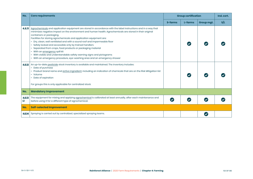| No.         | <b>Core requirements</b>                                                                                                                                                                                                                                                                                                                                                                                                                                                                                                                                                                                                                                                                                                 | <b>Group certification</b> |         |            | Ind. cert. |
|-------------|--------------------------------------------------------------------------------------------------------------------------------------------------------------------------------------------------------------------------------------------------------------------------------------------------------------------------------------------------------------------------------------------------------------------------------------------------------------------------------------------------------------------------------------------------------------------------------------------------------------------------------------------------------------------------------------------------------------------------|----------------------------|---------|------------|------------|
|             |                                                                                                                                                                                                                                                                                                                                                                                                                                                                                                                                                                                                                                                                                                                          | S-farms                    | L-farms | Group mgt. | S/L        |
| 4.6.11      | Agrochemicals and application equipment are stored in accordance with the label instructions and in a way that<br>minimizes negative impact on the environment and human health. Agrochemicals are stored in their original<br>containers or packaging.<br>Facilities for storing agrochemicals and application equipment are:<br>• Dry, clean, well ventilated and with a sound roof and impermeable floor<br>· Safely locked and accessible only by trained handlers<br>Separated from crops, food products or packaging material<br>• With an emergency spill kit<br>• With visible and understandable safety warning signs and pictograms<br>• With an emergency procedure, eye-washing area and an emergency shower |                            |         |            |            |
| 4.6.12      | An up-to-date pesticide stock inventory is available and maintained. The inventory includes:<br>• Date of purchase<br>• Product brand name and active ingredient, including an indication of chemicals that are on the Risk Mitigation list<br>• Volume<br>• Date of expiration<br>For groups this is only applicable for centralized stock.                                                                                                                                                                                                                                                                                                                                                                             |                            |         |            |            |
| No.         | <b>Mandatory Improvement</b>                                                                                                                                                                                                                                                                                                                                                                                                                                                                                                                                                                                                                                                                                             |                            |         |            |            |
| 4.6.13<br>ш | The equipment for mixing and applying agrochemical is calibrated at least annually, after each maintenance and<br>before using it for a different type of agrochemical.                                                                                                                                                                                                                                                                                                                                                                                                                                                                                                                                                  | $\blacktriangledown$       |         |            |            |
| No.         | <b>Self-selected Improvement</b>                                                                                                                                                                                                                                                                                                                                                                                                                                                                                                                                                                                                                                                                                         |                            |         |            |            |
| 4.6.14      | Spraying is carried out by centralized, specialized spraying teams.                                                                                                                                                                                                                                                                                                                                                                                                                                                                                                                                                                                                                                                      |                            |         |            |            |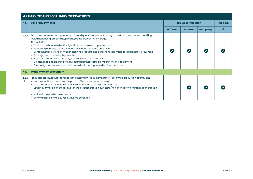|            | <b>4.7 HARVEST AND POST-HARVEST PRACTICES</b>                                                                                                                                                                                                                                                                                                                                                                                                                                                                                                                                                                                                                                                                                                                   |         |         |                                          |     |  |  |  |  |
|------------|-----------------------------------------------------------------------------------------------------------------------------------------------------------------------------------------------------------------------------------------------------------------------------------------------------------------------------------------------------------------------------------------------------------------------------------------------------------------------------------------------------------------------------------------------------------------------------------------------------------------------------------------------------------------------------------------------------------------------------------------------------------------|---------|---------|------------------------------------------|-----|--|--|--|--|
| No.        | <b>Core requirements</b>                                                                                                                                                                                                                                                                                                                                                                                                                                                                                                                                                                                                                                                                                                                                        |         |         | <b>Group certification</b><br>Ind. cert. |     |  |  |  |  |
|            |                                                                                                                                                                                                                                                                                                                                                                                                                                                                                                                                                                                                                                                                                                                                                                 | S-farms | L-farms | Group mgt.                               | S/L |  |  |  |  |
| 4.7.1      | Producers conserve and optimize quality and quantity of product during harvest and post-harvest handling,<br>including: loading, processing, packing, transportation, and storage.<br>This includes:<br>• Products are harvested at the right time and interval to optimize quality<br>Harvesting damages to the plant are minimized for future production<br>• Contamination by foreign matter, cleaning products and agrochemicals, microbes and pests is prevented<br>Damage due to humidity is prevented<br>• Products are stored in a cool, dry, well ventilated and dark place<br>• Maintenance and cleaning of harvest and postharvest tools, machinery and equipment<br>• Packaging materials are used that are suitable and approved for food products |         |         |                                          |     |  |  |  |  |
| No.        | <b>Mandatory Improvement</b>                                                                                                                                                                                                                                                                                                                                                                                                                                                                                                                                                                                                                                                                                                                                    |         |         |                                          |     |  |  |  |  |
| 4.7.2<br>ш | Producers take measures to respect the maximum residue levels (MRLs) set by the production country and<br>known destination countries of the product. The measures include e.g:<br>• Strict observance of label instructions of agrochemicals used post-harvest<br>• Obtain information on the residues in the product, through own tests (non-mandatory) or information through<br>buyers<br>• Actions in case MRLs are exceeded<br>• Communication to the buyer if MRLs are exceeded                                                                                                                                                                                                                                                                          |         |         |                                          |     |  |  |  |  |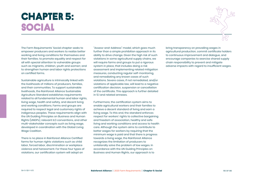# **CHAPTER 5: SOCIAL** social



The Farm Requirements' Social chapter seeks to empower producers and workers to realize better working and living conditions for themselves and their families; to promote equality and respect for all with special attention to vulnerable groups such as migrants, children, youth and women; and to strengthen human and labor rights protections on certified farms.

Sustainable agriculture is intrinsically linked with the livelihoods of millions of producers, families, and their communities. To support sustainable livelihoods, the Rainforest Alliance Sustainable Agriculture Standard establishes requirements related to all fundamental human and labor rights, living wage, health and safety, and decent living and working conditions. Farms and groups are required to respect legal and customary rights of indigenous peoples. These requirements align with the UN Guiding Principles on Business and Human Rights (UNGPs), relevant ILO conventions, and other multi-stakeholder concepts such as living wage, developed in coordination with the Global Living Wage Coalition.

There is no place in Rainforest Alliance Certified farms for human rights violations such as child labor, forced labor, discrimination or workplace violence and harassment. For these four types of violations, our certification system will adopt an

"Assess-and-Address" model, which goes much further than a simple prohibition approach in its ability to drive change. Given the high risk of such violations in some agricultural supply chains, we will require farms and groups to put a rigorous system in place, that includes doing a risk assessment and implementing related mitigation measures, conducting regular self-monitoring, and remediating any known cases of such violations. Severe cases, if not remediated, and/or violations of applicable law, will lead to a negative certification decision, suspension or cancellation of the certificate. This approach is further detailed in 5.1 and related annexes.

Furthermore, the certification system aims to enable agricultural workers and their families to achieve a decent standard of living and earn a living wage. To this end, the standard enforces respect for workers' rights to collective bargaining and freedom of association, healthy and safe living and working conditions and access to health care. Although the system aims to contribute to better wages for workers by requiring that the minimum wage is paid and that there is progress towards a living wage, the Rainforest Alliance recognizes the limitation of producers to unilaterally solve the problem of low wages. In accordance with the UN Guiding Principles on Business and Human Rights, our approach is to

bring transparency on prevailing wages in agricultural production, commit certificate holders to continuous improvement and dialogue, and encourage companies to exercise shared supply chain responsibility to prevent and mitigate adverse impacts with regard to insufficient wages.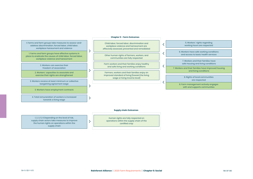#### **Chapter 5 - Farm Outcomes**



#### **Supply chain Outcomes**

1, 2, 3, 5, 6 Depending on the level of risk, supply chain actors take measures to improve the human rights on operations within the supply chain

 $\mathcal{P}$ 

Human rights are fully respected on operations within the supply chain of the certified crop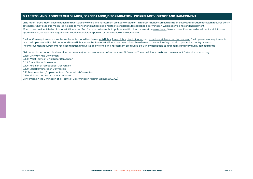### **5.1 ASSESS-AND-ADDRESS CHILD LABOR, FORCED LABOR, DISCRIMINATION, WORKPLACE VIOLENCE AND HARASSMENT**

Child labor, forced labor, discrimination and workplace violence and harassment are not tolerated on Rainforest Alliance Certified farms. The assess-and-address system requires certificate holders have specific measures in place to monitor and mitigate risks related to child labor, forced labor, discrimination, workplace violence and harassment. When cases are identified on Rainforest Alliance certified farms or on farms that apply for certification, they must be remediated. Severe cases, if not remediated, and/or violations of applicable law, will lead to a negative certification decision, suspension or cancellation of the certificate.

The four Core requirements must be implemented for all four issues: child labor, forced labor, discrimination and workplace violence and harassment. The Improvement requirements must be implemented for child labor and forced labor when the Rainforest Alliance has determined these issues to be medium/high risks in a particular country or sector. The improvement requirements for discrimination and workplace violence and harassment are always exclusively applicable to large farms and individually certified farms.

Child labor, forced labor, discrimination, and violence/harassment are as defined in Annex S1: Glossary. These definitions are based on relevant ILO standards, including:

- C. 138, Minimum Age Convention
- C. 182, Worst Forms of Child Labor Convention
- C. 29, Forced Labor Convention
- C. 105, Abolition of Forced Labor Convention
- C. 100, Equal Remuneration Convention
- C. 111, Discrimination (Employment and Occupation) Convention
- C. 190, Violence and Harassment Convention
- Convention on the Elimination of all Forms of Discrimination Against Women (CEDAW)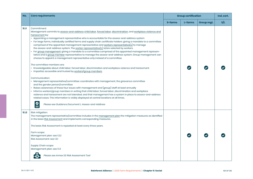| No.   | <b>Core requirements</b>                                                                                                                                                                                                                                                                                                                                                                                                                                                                                                                                                                                                                                                                                                                                                                                                                                                                                                                                                                                                                                                                                                                                                                                                                                                                                                                                                                                                                                                                                                                                                                                                                                                                                                  | <b>Group certification</b> |         |            | Ind. cert. |
|-------|---------------------------------------------------------------------------------------------------------------------------------------------------------------------------------------------------------------------------------------------------------------------------------------------------------------------------------------------------------------------------------------------------------------------------------------------------------------------------------------------------------------------------------------------------------------------------------------------------------------------------------------------------------------------------------------------------------------------------------------------------------------------------------------------------------------------------------------------------------------------------------------------------------------------------------------------------------------------------------------------------------------------------------------------------------------------------------------------------------------------------------------------------------------------------------------------------------------------------------------------------------------------------------------------------------------------------------------------------------------------------------------------------------------------------------------------------------------------------------------------------------------------------------------------------------------------------------------------------------------------------------------------------------------------------------------------------------------------------|----------------------------|---------|------------|------------|
|       |                                                                                                                                                                                                                                                                                                                                                                                                                                                                                                                                                                                                                                                                                                                                                                                                                                                                                                                                                                                                                                                                                                                                                                                                                                                                                                                                                                                                                                                                                                                                                                                                                                                                                                                           | S-farms                    | L-farms | Group mgt. | s/L        |
| 5.1.1 | Commitment:<br>Management commits to assess-and-address child labor, forced labor, discrimination, and workplace violence and<br>harassment by:<br>• Appointing a management representative who is accountable for the assess-and-address system<br>· For large farms, individually certified farms and supply chain certificate holders: giving a mandate to a committee<br>comprised of the appointed management representative and workers representative(s) to manage<br>the assess-and-address system. The worker representative(s) is/are selected by workers.<br>· For group management: giving a mandate to a committee comprised of the appointed management represen-<br>tative and a group member representative to manage the assess-and-address system. Group management can<br>choose to appoint a management representative only instead of a committee.<br>The committee members are:<br>· Knowledgeable about child labor, forced labor, discrimination and workplace violence and harassment<br>• Impartial, accessible and trusted by workers/group members<br>Communication:<br>• Management representative/committee: coordinates with management, the grievance committee<br>and the gender person/committee<br>Raises awareness of these four issues with management and (group) staff at least annually<br>· Informs workers/group members in writing that child labor, forced labor, discrimination and workplace<br>violence and harassment are not tolerated, and that management has a system in place to assess-and-address<br>related cases. This information is visibly displayed at central locations at all times.<br>$\mathbf{P}$<br>Please see Guidance Document L: Assess-and-Address |                            |         |            |            |
| 5.1.2 | Risk mitigation:<br>The management representative/committee includes in the management plan the mitigation measures as identified<br>in the basic Risk Assessment and implements corresponding measures.<br>The basic Risk Assessment is repeated at least every three years.<br>Farm scope:<br>Management plan: see 1.3.2<br>Risk Assessment: see 1.3.1<br>Supply Chain scope:<br>Management plan: see 1.1.3<br>Please see Annex S3: Risk Assessment Tool                                                                                                                                                                                                                                                                                                                                                                                                                                                                                                                                                                                                                                                                                                                                                                                                                                                                                                                                                                                                                                                                                                                                                                                                                                                                |                            |         |            |            |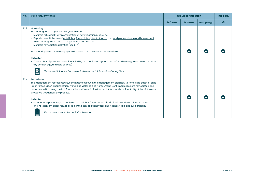| No.   | <b>Core requirements</b>                                                                                                                                                                                                                                                                                                                                                                                                                                                                                                                                                                                                                                                                                     | <b>Group certification</b> |         |            | Ind. cert. |
|-------|--------------------------------------------------------------------------------------------------------------------------------------------------------------------------------------------------------------------------------------------------------------------------------------------------------------------------------------------------------------------------------------------------------------------------------------------------------------------------------------------------------------------------------------------------------------------------------------------------------------------------------------------------------------------------------------------------------------|----------------------------|---------|------------|------------|
|       |                                                                                                                                                                                                                                                                                                                                                                                                                                                                                                                                                                                                                                                                                                              | S-farms                    | L-farms | Group mgt. | s/L        |
| 5.1.3 | Monitoring:<br>The management representative/committee<br>• Monitors risks and the implementation of risk mitigation measures<br>· Reports potential cases of child labor, forced labor, discrimination, and workplace violence and harassment<br>to the management and to the grievance committee<br>• Monitors remediation activities (see 5.1.4)<br>The intensity of the monitoring system is adjusted to the risk level and the issue.<br>Indicator:<br>• The number of potential cases identified by the monitoring system and referred to the grievance mechanism<br>(by gender, age, and type of issue)<br>$\overset{\circ}{=}$<br>Please see Guidance Document R: Assess-and-Address Monitoring Tool |                            |         |            |            |
| 5.1.4 | Remediation:<br>The management representative/committee sets out in the management plan how to remediate cases of child<br>labor, forced labor, discrimination, workplace violence and harassment. Confirmed cases are remediated and<br>documented following the Rainforest Alliance Remediation Protocol. Safety and confidentiality of the victims are<br>protected throughout the process.<br>Indicator:<br>· Number and percentage of confirmed child labor, forced labor, discrimination and workplace violence<br>and harassment cases remediated per the Remediation Protocol (by gender, age, and type of issue)<br>Please see Annex S4: Remediation Protocol                                       |                            |         |            |            |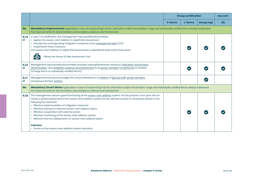|             |                                                                                                                                                                                                                                                                                                                                                                                                                                                                                                                                                                                                                                           | <b>Group certification</b> |         |                      | Ind. cert. |
|-------------|-------------------------------------------------------------------------------------------------------------------------------------------------------------------------------------------------------------------------------------------------------------------------------------------------------------------------------------------------------------------------------------------------------------------------------------------------------------------------------------------------------------------------------------------------------------------------------------------------------------------------------------------|----------------------------|---------|----------------------|------------|
|             |                                                                                                                                                                                                                                                                                                                                                                                                                                                                                                                                                                                                                                           | S-farms                    | L-farms | Group mgt.           | S/L        |
| No.         | Mandatory Improvement Applicable in case of medium/high risk for child labor and/or forced labor. Large and individually certified farms always implement<br>the improvements for discrimination and workplace violence and harassment                                                                                                                                                                                                                                                                                                                                                                                                    |                            |         |                      |            |
| 5.1.5<br>H. | In year 1 of certification, the management representative/committee:<br>• Applies the assess-and-address in-depth Risk Assessment<br>• Includes the corresponding mitigation measures in the management plan (1.3.2)<br>• Implements these measures<br>The assess-and-address in-depth Risk Assessment is repeated at least every three years.<br>Please see Annex S3: Risk Assessment Tool                                                                                                                                                                                                                                               |                            |         |                      |            |
| 5.1.6<br>ш  | Management representative/committee provides training/awareness raising on child labor, forced labor,<br>discrimination, and workplace violence and harassment to all group members (small farms) or workers<br>(of large farms or individually certified farms).                                                                                                                                                                                                                                                                                                                                                                         |                            |         |                      |            |
| 5.1.7<br>ш  | Management actively encourages the school attendance of children of (group) staff, group members,<br>and group member workers.                                                                                                                                                                                                                                                                                                                                                                                                                                                                                                            |                            |         | $\blacktriangledown$ |            |
| No.         | Mandatory Smart Meter Applicable in case of medium/high risk for child labor and/or forced labor. Large and individually certified farms always implement<br>the improvements for discrimination and workplace violence and harassment                                                                                                                                                                                                                                                                                                                                                                                                    |                            |         |                      |            |
| 5.1.8       | The management assures good functioning of the assess-and-address system. For this purpose, from year one on-<br>wards, a yearly assessment of the assess-and-address system for the relevant issue(s) is conducted, based on the<br>following five elements:<br>• Effective implementation of mitigation measures<br>• Effective training on relevant assess-and-address topics<br>• Effective cooperation with external actors<br>• Effective monitoring of the assess-and-address system<br>• Effective internal collaboration on assess-and-address topics<br><b>Indicator:</b><br>• Scores on the assess-and-address system elements |                            |         |                      |            |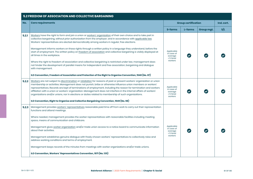|       | 5.2 FREEDOM OF ASSOCIATION AND COLLECTIVE BARGAINING                                                                                                                                                                                                                                                                                                                                                                                                                                                                                                                                        |                                                             |                            |            |     |  |  |
|-------|---------------------------------------------------------------------------------------------------------------------------------------------------------------------------------------------------------------------------------------------------------------------------------------------------------------------------------------------------------------------------------------------------------------------------------------------------------------------------------------------------------------------------------------------------------------------------------------------|-------------------------------------------------------------|----------------------------|------------|-----|--|--|
| No.   | <b>Core requirements</b>                                                                                                                                                                                                                                                                                                                                                                                                                                                                                                                                                                    |                                                             | <b>Group certification</b> |            |     |  |  |
|       |                                                                                                                                                                                                                                                                                                                                                                                                                                                                                                                                                                                             | S-farms                                                     | L-farms                    | Group mgt. | S/L |  |  |
| 5.2.1 | Workers have the right to form and join a union or workers' organization of their own choice and to take part in<br>collective bargaining, without prior authorization from the employer, and in accordance with applicable law.<br>Workers' representatives are elected democratically among workers in regular, free elections.                                                                                                                                                                                                                                                           |                                                             |                            |            |     |  |  |
|       | Management informs workers on these rights through a written policy in a language they understand, before the<br>start of employment. The written policy on freedom of association and collective bargaining is visibly displayed at<br>all times in the workplace.                                                                                                                                                                                                                                                                                                                         | Applicable<br>in case of<br>average<br>$\geq 5$ hired       |                            |            |     |  |  |
|       | Where the right to freedom of association and collective bargaining is restricted under law, management does<br>not hinder the development of parallel means for independent and free association, bargaining and dialogue<br>with management.                                                                                                                                                                                                                                                                                                                                              | workers                                                     |                            |            |     |  |  |
|       | ILO Convention, Freedom of Association and Protection of the Right to Organise Convention, 1948 (No. 87)                                                                                                                                                                                                                                                                                                                                                                                                                                                                                    |                                                             |                            |            |     |  |  |
| 5.2.2 | Workers are not subject to discrimination or retaliation for reasons of past or present workers' organization or union<br>membership or activities. Management does not punish, bribe or otherwise influence union members or workers'<br>representatives. Records are kept of terminations of employment, including the reason for termination and workers<br>affiliation with a union or workers' organization. Management does not interfere in the internal affairs of workers'<br>organizations and/or unions, nor in elections or duties related to membership of such organizations. | Applicable<br>in case of<br>average<br>≥ 5 hired<br>workers |                            |            |     |  |  |
|       | ILO Convention, Right to Organise and Collective Bargaining Convention, 1949 (No. 98)                                                                                                                                                                                                                                                                                                                                                                                                                                                                                                       |                                                             |                            |            |     |  |  |
| 5.2.3 | Management provides workers' representatives reasonable paid time off from work to carry out their representation<br>functions and attend meetings.                                                                                                                                                                                                                                                                                                                                                                                                                                         |                                                             |                            |            |     |  |  |
|       | Where needed, management provides the worker representatives with reasonable facilities including meeting<br>space, means of communication and childcare.                                                                                                                                                                                                                                                                                                                                                                                                                                   |                                                             |                            |            |     |  |  |
|       | Management gives worker organization and/or trade union access to a notice board to communicate information<br>about their activities.                                                                                                                                                                                                                                                                                                                                                                                                                                                      | Applicable<br>in case of<br>average<br>≥ 5 hired            |                            |            |     |  |  |
|       | Management establishes genuine dialogue with freely chosen workers' representatives to collectively raise and<br>address working conditions and terms of employment.                                                                                                                                                                                                                                                                                                                                                                                                                        | workers                                                     |                            |            |     |  |  |
|       | Management keeps records of the minutes from meetings with worker organizations and/or trade unions.                                                                                                                                                                                                                                                                                                                                                                                                                                                                                        |                                                             |                            |            |     |  |  |
|       | ILO Convention, Workers' Representatives Convention, 1971 (No. 135)                                                                                                                                                                                                                                                                                                                                                                                                                                                                                                                         |                                                             |                            |            |     |  |  |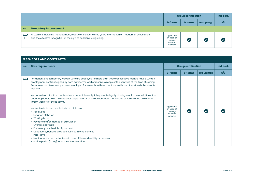|            |                                                                                                                                                                                 | <b>Group certification</b>                                       |                      |            | Ind. cert. |
|------------|---------------------------------------------------------------------------------------------------------------------------------------------------------------------------------|------------------------------------------------------------------|----------------------|------------|------------|
|            |                                                                                                                                                                                 | S-farms                                                          | L-farms              | Group mgt. | S/L        |
| No.        | <b>Mandatory Improvement</b>                                                                                                                                                    |                                                                  |                      |            |            |
| 5.2.4<br>и | All workers, including management, receive once every three years information on freedom of association<br>and the effective recognition of the right to collective bargaining. | Applicable<br>in case of<br>average<br>$\geq 5$ hired<br>workers | $\blacktriangledown$ |            |            |

|       | <b>5.3 WAGES AND CONTRACTS</b>                                                                                                                                                                                                                                                                                                                                                                                                                                                                                                                                                                                                                                                                                                                                                                                                                                                                                                                                                                                                                                                  |                                                                  |         |            |            |  |  |  |  |
|-------|---------------------------------------------------------------------------------------------------------------------------------------------------------------------------------------------------------------------------------------------------------------------------------------------------------------------------------------------------------------------------------------------------------------------------------------------------------------------------------------------------------------------------------------------------------------------------------------------------------------------------------------------------------------------------------------------------------------------------------------------------------------------------------------------------------------------------------------------------------------------------------------------------------------------------------------------------------------------------------------------------------------------------------------------------------------------------------|------------------------------------------------------------------|---------|------------|------------|--|--|--|--|
| No.   | <b>Core requirements</b>                                                                                                                                                                                                                                                                                                                                                                                                                                                                                                                                                                                                                                                                                                                                                                                                                                                                                                                                                                                                                                                        | <b>Group certification</b>                                       |         |            | Ind. cert. |  |  |  |  |
|       |                                                                                                                                                                                                                                                                                                                                                                                                                                                                                                                                                                                                                                                                                                                                                                                                                                                                                                                                                                                                                                                                                 | S-farms                                                          | L-farms | Group mgt. | S/L        |  |  |  |  |
| 5.3.1 | Permanent and temporary workers who are employed for more than three consecutive months have a written<br>employment contract signed by both parties. The worker receives a copy of the contract at the time of signing.<br>Permanent and temporary workers employed for fewer than three months must have at least verbal contracts<br>in place.<br>Verbal instead of written contracts are acceptable only if they create legally binding employment relationships<br>under applicable law. The employer keeps records of verbal contracts that include all terms listed below and<br>inform workers of these terms.<br>Written/verbal contracts include at minimum:<br>• Job duties<br>• Location of the job<br>• Working hours<br>• Pay rate and/or method of calculation<br>Overtime pay rate<br>$\bullet$<br>• Frequency or schedule of payment<br>Deductions, benefits provided such as in-kind benefits<br>$\bullet$<br>• Paid leave<br>• Medical leave and protections in case of illness, disability or accident<br>• Notice period (if any) for contract termination | Applicable<br>in case of<br>average<br>$\geq$ 5 hired<br>workers |         |            |            |  |  |  |  |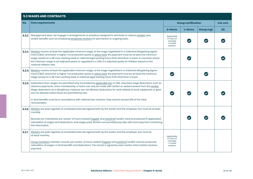# **5.3 WAGES AND CONTRACTS**

| No.   | <b>Core requirements</b>                                                                                                                                                                                                                                                                                                                                                                                                                                                                             |                                                             | <b>Group certification</b> |            | Ind. cert. |
|-------|------------------------------------------------------------------------------------------------------------------------------------------------------------------------------------------------------------------------------------------------------------------------------------------------------------------------------------------------------------------------------------------------------------------------------------------------------------------------------------------------------|-------------------------------------------------------------|----------------------------|------------|------------|
|       |                                                                                                                                                                                                                                                                                                                                                                                                                                                                                                      | S-farms                                                     | L-farms                    | Group mqt. | s/L        |
| 5.3.2 | Management does not engage in arrangements or practices designed to eliminate or reduce workers' pay<br>and/or benefits such as employing temporary workers for permanent or ongoing tasks.                                                                                                                                                                                                                                                                                                          | Applicable<br>in case of<br>average<br>≥ 5 hired<br>workers |                            |            |            |
| 5.3.3 | Workers receive at least the applicable minimum wage, or the wage negotiated in a Collective Bargaining Agree-<br>ment (CBA), whichever is higher. For production quota or piece work, the payment must be at least the minimum<br>wage, based on a 48-hour working week or national legal working hours limit whichever is lower. In countries where<br>the minimum wage is not adjusted yearly or regulated in a CBA, it is adjusted yearly for inflation based on the<br>national inflation rate. |                                                             |                            |            |            |
| 5,3,4 | Workers receive at least the applicable minimum wage, or the wage negotiated in a Collective Bargaining Agree-<br>ment (CBA), whichever is higher. For production quota or piece work, the payment must be at least the minimum<br>wage, based on a 48-hour working week or national legal working hours limit whichever is lower.                                                                                                                                                                   |                                                             |                            |            |            |
| 5.3.5 | Deductions from wages are permitted only if provided by applicable law or CBA. Voluntary wage deductions such as<br>advance payments, union membership, or loans can only be made with written or verbal consent from the worker.<br>Wage deductions as a disciplinary measure are not allowed. Deductions for work related to tools, equipment or gear<br>are not allowed unless those are permitted by law.                                                                                        |                                                             |                            |            |            |
|       | In-kind benefits must be in accordance with national law, however, they cannot exceed 30% of the total<br>remuneration.                                                                                                                                                                                                                                                                                                                                                                              |                                                             |                            |            |            |
| 5.3.6 | Workers are paid regularly at scheduled intervals agreed both by the worker and the employer, but must be at least<br>monthly.                                                                                                                                                                                                                                                                                                                                                                       |                                                             |                            |            |            |
|       | Records are maintained, per worker, of hours worked (regular and overtime) and/or volume produced (if applicable),<br>calculation of wages and deductions, and wages paid. Workers are provided pay slips with each payment containing<br>this information.                                                                                                                                                                                                                                          |                                                             |                            |            |            |
| 5.3.7 | Workers are paid regularly at scheduled intervals agreed both by the worker and the employer, but must be<br>at least monthly.                                                                                                                                                                                                                                                                                                                                                                       | Applicable<br>in case of                                    |                            |            |            |
|       | Group members maintain records, per worker, of hours worked (regular and overtime) and/or volume produced,<br>calculation of wages, in-kind benefits and deductions. The record is signed by each worker when he/she receives<br>payment.                                                                                                                                                                                                                                                            | average<br>$\geq 5$ hired<br>workers                        |                            |            |            |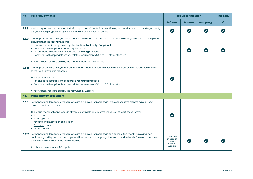| No.         | <b>Core requirements</b>                                                                                                                                                                                                                                                                                                                                                                                                                                                                                        | <b>Group certification</b>                                       |                         |                      | Ind. cert. |
|-------------|-----------------------------------------------------------------------------------------------------------------------------------------------------------------------------------------------------------------------------------------------------------------------------------------------------------------------------------------------------------------------------------------------------------------------------------------------------------------------------------------------------------------|------------------------------------------------------------------|-------------------------|----------------------|------------|
|             |                                                                                                                                                                                                                                                                                                                                                                                                                                                                                                                 | S-farms                                                          | L-farms                 | Group mgt.           | S/L        |
| 5.3.8       | Work of equal value is remunerated with equal pay without discrimination e.g. on gender or type of worker, ethnicity,<br>age, color, religion, political opinion, nationality, social origin or others.                                                                                                                                                                                                                                                                                                         | $\boldsymbol{\heartsuit}$                                        | $\overline{\mathbf{v}}$ | $\blacktriangledown$ |            |
| 5.3.9       | If labor providers are used, management has a written contract and documented oversight mechanisms in place<br>ensuring that the labor provider is:<br>• Licensed or certified by the competent national authority, if applicable<br>• Compliant with applicable legal requirements<br>• Not engaged in fraudulent or coercive recruiting practices<br>• Compliant with applicable worker related requirements 5.3 and 5.5 of this standard<br>All recruitment fees are paid by the management, not by workers. |                                                                  |                         |                      |            |
| 5,3,10      | If labor providers are used, name, contact and, if labor provider is officially registered, official registration number<br>of the labor provider is recorded.<br>The labor provider is:<br>• Not engaged in fraudulent or coercive recruiting practices<br>• Compliant with applicable worker related requirements 5.3 and 5.5 of this standard<br>All recruitment fees are paid by the farm, not by workers.                                                                                                  |                                                                  |                         |                      |            |
| No.         | <b>Mandatory Improvement</b>                                                                                                                                                                                                                                                                                                                                                                                                                                                                                    |                                                                  |                         |                      |            |
| 5.3.11<br>n | Permanent and temporary workers who are employed for more than three consecutive months have at least<br>a verbal contract in place.<br>The group member keeps records of verbal contracts and informs workers of at least these terms:<br>• Job duties<br>• Working hours<br>• Pay rate and method of calculation<br>• Overtime hours<br>• In-kind benefits                                                                                                                                                    | $\blacktriangledown$                                             |                         |                      |            |
| Ľī          | 5.3.12 Permanent and temporary workers who are employed for more than one consecutive month have a written<br>contract signed by both the employer and the worker, in a language the worker understands. The worker receives<br>a copy of the contract at the time of signing.<br>All other requirements of 5.3.1 apply.                                                                                                                                                                                        | Applicable<br>in case of<br>average<br>$\geq 5$ hired<br>workers |                         |                      |            |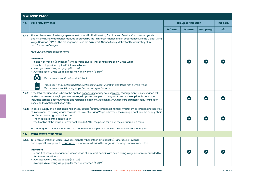|       | <b>5.4 LIVING WAGE</b>                                                                                                                                                                                                                                                                                                                                                                                                                                                                                                                     |                |                            |            |            |  |  |
|-------|--------------------------------------------------------------------------------------------------------------------------------------------------------------------------------------------------------------------------------------------------------------------------------------------------------------------------------------------------------------------------------------------------------------------------------------------------------------------------------------------------------------------------------------------|----------------|----------------------------|------------|------------|--|--|
| No.   | <b>Core requirements</b>                                                                                                                                                                                                                                                                                                                                                                                                                                                                                                                   |                | <b>Group certification</b> |            | Ind. cert. |  |  |
|       |                                                                                                                                                                                                                                                                                                                                                                                                                                                                                                                                            | <b>S-farms</b> | L-farms                    | Group mgt. | s/L        |  |  |
| 5.4.1 | The total remuneration (wages plus monetary and in-kind benefits) for all types of workers* is assessed yearly<br>against the Living Wage benchmark, as approved by the Rainforest Alliance and in accordance with the Global Living<br>Wage Coalition (GLWC). The management uses the Rainforest Alliance Salary Matrix Tool to accurately fill in<br>data for workers' wages.                                                                                                                                                            |                |                            |            |            |  |  |
|       | *excluding workers on small farms                                                                                                                                                                                                                                                                                                                                                                                                                                                                                                          |                |                            |            |            |  |  |
|       | Indicators:<br>• # and % of workers (per gender) whose wage plus in-kind-benefits are below Living Wage<br>benchmark provided by the Rainforest Alliance<br>• Average size of Living Wage gap (% of LW)<br>• Average size of Living Wage gap for men and women (% of LW)<br>侭<br>Please see Annex S8: Salary Matrix Tool                                                                                                                                                                                                                   |                |                            |            |            |  |  |
|       | $\mathsf{I}$<br>Please see Annex S9: Methodology for Measuring Remuneration and Gaps with a Living Wage<br>$\equiv$<br>Please see Annex S10: Living Wage Benchmarks per Country                                                                                                                                                                                                                                                                                                                                                            |                |                            |            |            |  |  |
| 5.4.2 | If the total remuneration is below the applied benchmark for any type of worker, management, in consultation with<br>workers' representatives, implements a wage improvement plan to progress towards the applicable benchmark,<br>including targets, actions, timeline and responsible persons. At a minimum, wages are adjusted yearly for inflation<br>based on the national inflation rate.                                                                                                                                            |                |                            |            |            |  |  |
| 5.4.3 | In case a supply chain certificate holder contributes (directly through a financial investment or through another type<br>of investment) to raising wages towards the level of a Living Wage or beyond, the management and the supply chain<br>certificate holder agree in writing on:<br>• The modalities of the contribution<br>• The timeline of the wage improvement plan (5.4.2) for the period for which the contribution is made<br>The management keeps records on the progress of the implementation of the wage improvement plan |                |                            |            |            |  |  |
| No.   | <b>Mandatory Smart Meter</b>                                                                                                                                                                                                                                                                                                                                                                                                                                                                                                               |                |                            |            |            |  |  |
| 5.4.4 | Total remuneration of workers (wages, monetary benefits, in-kind benefits) is increasing towards<br>and beyond the applicable Living Wage benchmark following the targets in the wage improvement plan.                                                                                                                                                                                                                                                                                                                                    |                |                            |            |            |  |  |
|       | <b>Indicators:</b><br>• # and % of workers (per gender) whose wage plus in-kind-benefits are below Living Wage benchmark provided by<br>the Rainforest Alliance<br>• Average size of Living Wage gap (% of LW)<br>• Average size of Living Wage gap for men and women (% of LW)                                                                                                                                                                                                                                                            |                |                            |            |            |  |  |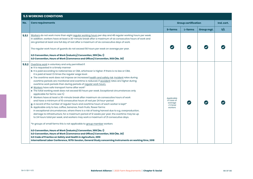| <b>5.5 WORKING CONDITIONS</b> |                                                                                                                                                                                                                                                                                                                                                                                                                                                                                                                                                                                                                                                                                                                                                                                                                                                                                                                                                                                                                                                                                                                                                                                                                                                                                                                                                                                                                                                                                                                                                                                                                                                                                                                                                           |                                                                  |         |            |            |
|-------------------------------|-----------------------------------------------------------------------------------------------------------------------------------------------------------------------------------------------------------------------------------------------------------------------------------------------------------------------------------------------------------------------------------------------------------------------------------------------------------------------------------------------------------------------------------------------------------------------------------------------------------------------------------------------------------------------------------------------------------------------------------------------------------------------------------------------------------------------------------------------------------------------------------------------------------------------------------------------------------------------------------------------------------------------------------------------------------------------------------------------------------------------------------------------------------------------------------------------------------------------------------------------------------------------------------------------------------------------------------------------------------------------------------------------------------------------------------------------------------------------------------------------------------------------------------------------------------------------------------------------------------------------------------------------------------------------------------------------------------------------------------------------------------|------------------------------------------------------------------|---------|------------|------------|
| No.                           | <b>Core requirements</b>                                                                                                                                                                                                                                                                                                                                                                                                                                                                                                                                                                                                                                                                                                                                                                                                                                                                                                                                                                                                                                                                                                                                                                                                                                                                                                                                                                                                                                                                                                                                                                                                                                                                                                                                  | <b>Group certification</b>                                       |         |            | Ind. cert. |
|                               |                                                                                                                                                                                                                                                                                                                                                                                                                                                                                                                                                                                                                                                                                                                                                                                                                                                                                                                                                                                                                                                                                                                                                                                                                                                                                                                                                                                                                                                                                                                                                                                                                                                                                                                                                           | S-farms                                                          | L-farms | Group mgt. | S/L        |
| 5.5.1                         | Workers do not work more than eight regular working hours per day and 48 regular working hours per week.<br>In addition, workers have at least a 30-minute break after a maximum of six consecutive hours of work and<br>are granted at least one full day of rest after a maximum of six consecutive days of work.<br>The regular work hours of guards do not exceed 56 hours per week on average per year.                                                                                                                                                                                                                                                                                                                                                                                                                                                                                                                                                                                                                                                                                                                                                                                                                                                                                                                                                                                                                                                                                                                                                                                                                                                                                                                                              |                                                                  |         |            |            |
|                               | ILO Convention, Hours of Work (Industry) Convention, 1919 (No. 1)<br>ILO Convention, Hours of Work (Commerce and Offices) Convention, 1930 (No. 30)                                                                                                                                                                                                                                                                                                                                                                                                                                                                                                                                                                                                                                                                                                                                                                                                                                                                                                                                                                                                                                                                                                                                                                                                                                                                                                                                                                                                                                                                                                                                                                                                       |                                                                  |         |            |            |
| 5.5.2                         | Overtime work is voluntary and only permitted if:<br>a It is requested in a timely manner<br>b It is paid according to national law or CBA, whichever is higher. If there is no law or CBA,<br>it is paid at least 1,5 times the regular wage level.<br>c The overtime work does not impose an increased health and safety risk. Incident rates during<br>overtime periods are monitored and overtime is reduced, if accident rates are higher during<br>overtime work periods than during periods of regular work hours.<br>d Workers have safe transport home after work*<br>e The total working week does not exceed 60 hours per week. Exceptional circumstances only<br>applicable for farms: see h)<br>f Workers have at least a 30-minute break after maximum six consecutive hours of work<br>and have a minimum of 10 consecutive hours of rest per 24 hour-period<br>g A record of the number of regular hours and overtime hours of each worker is kept*<br>h Applicable only to tea, coffee, bananas, fresh fruits, flower farms:<br>In exceptional circumstances, where there is a risk of losing harvest due to e.g. overproduction,<br>damage to infrastructure, for a maximum period of 12 weeks per year, the overtime may be up<br>to 24 hours total per week, and workers may work a maximum of 21 consecutive days.<br>*In groups of small farms this is not applicable to group member workers<br>ILO Convention, Hours of Work (Industry) Convention, 1919 (No. 1)<br>ILO Convention, Hours of Work (Commerce and Offices) Convention, 1930 (No. 30)<br>ILO Code of Practice on Safety and Health in Agriculture, 2010<br>International Labor Conference, 107th Session, General Study concerning instruments on working time, 2018 | Applicable<br>in case of<br>average<br>$\geq 5$ hired<br>workers |         |            |            |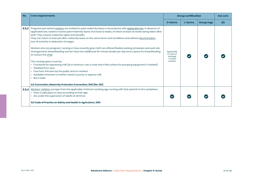| No.   | <b>Core requirements</b>                                                                                                                                                                                                                                                                                                                                                                                                                                                                                                                                                                                                                                                                                                                                                                                                                                                                                                                                                                                                                                                                                                          | <b>Group certification</b>                                       |         |            | Ind. cert. |
|-------|-----------------------------------------------------------------------------------------------------------------------------------------------------------------------------------------------------------------------------------------------------------------------------------------------------------------------------------------------------------------------------------------------------------------------------------------------------------------------------------------------------------------------------------------------------------------------------------------------------------------------------------------------------------------------------------------------------------------------------------------------------------------------------------------------------------------------------------------------------------------------------------------------------------------------------------------------------------------------------------------------------------------------------------------------------------------------------------------------------------------------------------|------------------------------------------------------------------|---------|------------|------------|
|       |                                                                                                                                                                                                                                                                                                                                                                                                                                                                                                                                                                                                                                                                                                                                                                                                                                                                                                                                                                                                                                                                                                                                   | S-farms                                                          | L-farms | Group mgt. | s/L        |
| 5,5,3 | Pregnant permanent workers are entitled to paid maternity leave in accordance with applicable law. In absence of<br>applicable law, workers receive paid maternity leave of at least 12 weeks, of which at least six weeks being taken after<br>birth. They receive maternity rights and benefits.<br>They can return to their job after maternity leave on the same terms and conditions and without discrimination,<br>loss of seniority or deduction of wages.<br>Workers who are pregnant, nursing or have recently given birth are offered flexible working schedules and work site<br>arrangements. Breastfeeding women have two additional 30-minute breaks per day and a space for breastfeeding<br>to nurture the child.<br>This nursing space must be:<br>• Functional for expressing milk (at a minimum, has a chair and a flat surface for pumping equipment, if needed)<br>Shielded from view<br>$\bullet$<br>• Free from intrusion by the public and co-workers<br>• Available whenever a mother needs to pump or express milk<br>• Not a toilet<br>ILO Convention, Maternity Protection Convention, 1952 (No. 183) | Applicable<br>in case of<br>average<br>$\geq$ 5 hired<br>workers |         |            |            |
| 5.5.4 | Workers' children younger than the applicable minimum working age coming with their parents to the workplace:<br>• Have a safe place to stay according to their age<br>• Are under the supervision of adults at all times<br>ILO Code of Practice on Safety and Health in Agriculture, 2010                                                                                                                                                                                                                                                                                                                                                                                                                                                                                                                                                                                                                                                                                                                                                                                                                                       |                                                                  |         |            |            |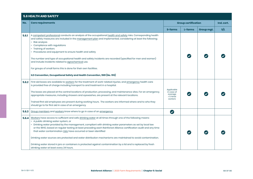## **5.6 HEALTH AND SAFETY No. Core requirements Group certification Ind. cert. S-farms L-farms Group mgt. S/L 5.6.1** A competent professional conducts an analysis of the occupational health and safety risks. Corresponding health and safety measures are included in the management plan and implemented, considering at least the following; • Risk analysis • Compliance with regulations • Training of workers • Procedures and equipment to ensure health and safety  $\bullet$  $\overline{\mathcal{L}}$ The number and type of occupational health and safety incidents are recorded (specified for men and women) and include incidents related to agrochemical use. For groups of small farms this is done for their own facilities. **ILO Convention, Occupational Safety and Health Convention, 1981 (No. 155) 5.6.2** First aid boxes are available to workers for the treatment of work-related injuries, and emergency health care is provided free of charge including transport to and treatment in a hospital. Applicable The boxes are placed at the central locations of production, processing, and maintenance sites. For an emergency, in case of  $\blacktriangledown$ l J average appropriate measures, including showers and eyewashes, are present at the relevant locations. ≥ 5 hired workers Trained first aid employees are present during working hours. The workers are informed where and to who they should go to for first aid in case of an emergency.  $\bullet$ **5.6.3** Group members and workers know where to go in case of an emergency. **5.6.4** Workers have access to sufficient and safe drinking water at all times through one of the following means: • A public drinking water system, or • Drinking water provided by the management, compliant with drinking water parameters as set by local law or the WHO, based on regular testing at least preceding each Rainforest Alliance certification audit and any time that water contamination risks have occurred or been identified  $\bullet$ Drinking water sources are protected and water distribution mechanisms are maintained to avoid contamination. Drinking water stored in jars or containers is protected against contamination by a lid and is replaced by fresh drinking water at least every 24 hours.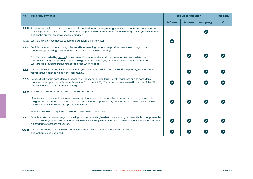| No.    | <b>Core requirements</b>                                                                                                                                                                                                                                                                                                                                                                                                                                                                   | <b>Group certification</b> |         |            |     |  |  | Ind. cert. |
|--------|--------------------------------------------------------------------------------------------------------------------------------------------------------------------------------------------------------------------------------------------------------------------------------------------------------------------------------------------------------------------------------------------------------------------------------------------------------------------------------------------|----------------------------|---------|------------|-----|--|--|------------|
|        |                                                                                                                                                                                                                                                                                                                                                                                                                                                                                            | S-farms                    | L-farms | Group mgt. | s/L |  |  |            |
| 5.6.5  | For small farms, in case of no access to safe public drinking water, management implements and documents a<br>training program to instruct group members on potable water treatments through boiling, filtering, or chlorinating<br>and on the prevention of water contamination.                                                                                                                                                                                                          |                            |         |            |     |  |  |            |
| 5.6.6  | Workers always have access to safe and sufficient drinking water.                                                                                                                                                                                                                                                                                                                                                                                                                          | $\bullet$                  |         |            |     |  |  |            |
| 5.6.7  | Sufficient, clean, and functioning toilets and handwashing stations are provided in or close by agricultural<br>production, processing, maintenance, office sites, and workers' housing.<br>Facilities are divided by gender in the case of 10 or more workers. Urinals are separated from toilets used<br>by females. Safety and privacy of vulnerable groups are ensured, by at least well-lit and lockable facilities.<br>Workers are allowed to frequent these facilities when needed. |                            |         |            |     |  |  |            |
| 5.6.8  | Workers receive information on health topics, medical leave policies and availability of primary, maternal and<br>reproductive health services in the community.                                                                                                                                                                                                                                                                                                                           |                            |         |            |     |  |  |            |
| 5.6.9  | Persons that work in hazardous situations (e.g. under challenging terrains, with machines or with hazardous<br>materials) use appropriate Personal Protective Equipment (PPE). These persons are trained in the use of the PPE<br>and have access to the PPE free of charge.                                                                                                                                                                                                               |                            |         |            |     |  |  |            |
| 5.6.10 | All tools used by the workers are in good working condition.<br>Machines have clear instructions on safe usage that can be understood by the workers, and dangerous parts<br>are guarded or encased. Workers using such machines are appropriately trained, and if required by law, workers<br>operating machinery have the applicable licenses.<br>Machinery and other equipment are stored safely when not in use.                                                                       |                            |         |            |     |  |  |            |
| 5.6.11 | Female workers who are pregnant, nursing, or have recently given birth are not assigned to activities that pose a risk<br>to the woman's, unborn child's, or infant's health. In cases of job reassignment, there is no reduction in remuneration.<br>No pregnancy tests are requested.                                                                                                                                                                                                    | $\blacktriangledown$       |         |            |     |  |  |            |
| 5.6.12 | Workers may leave situations with imminent danger without seeking employer's permission<br>and without being penalized.                                                                                                                                                                                                                                                                                                                                                                    |                            |         |            |     |  |  |            |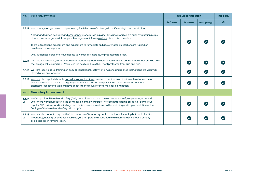| No.                      | <b>Core requirements</b>                                                                                                                                                                                                                                                                                                                                                                    | <b>Group certification</b> |         | Ind. cert. |     |
|--------------------------|---------------------------------------------------------------------------------------------------------------------------------------------------------------------------------------------------------------------------------------------------------------------------------------------------------------------------------------------------------------------------------------------|----------------------------|---------|------------|-----|
|                          |                                                                                                                                                                                                                                                                                                                                                                                             | S-farms                    | L-farms | Group mgt. | s/L |
|                          | 5.6.13 Workshops, storage areas, and processing facilities are safe, clean, with sufficient light and ventilation.                                                                                                                                                                                                                                                                          |                            |         |            |     |
|                          | A clear and written accident and emergency procedure is in place. It includes marked fire exits, evacuation maps,<br>at least one emergency drill per year. Management informs workers about this procedure.                                                                                                                                                                                |                            |         |            |     |
|                          | There is firefighting equipment and equipment to remediate spillage of materials. Workers are trained on<br>how to use this equipment.                                                                                                                                                                                                                                                      |                            |         |            |     |
|                          | Only authorized personnel have access to workshops, storage, or processing facilities.                                                                                                                                                                                                                                                                                                      |                            |         |            |     |
|                          | 5.6.14 Workers in workshops, storage areas and processing facilities have clean and safe eating spaces that provide pro-<br>tection against sun and rain. Workers in the field can have their meal protected from sun and rain.                                                                                                                                                             |                            |         |            |     |
|                          | 5.6.15 Workers receive basic training on occupational health, safety, and hygiene and related instructions are visibly dis-<br>played at central locations.                                                                                                                                                                                                                                 |                            |         |            |     |
| 5.6.16                   | Workers who regularly handle hazardous agrochemicals receive a medical examination at least once a year.<br>In case of regular exposure to organophosphates or carbamate pesticides, the examination includes<br>cholinesterase testing. Workers have access to the results of their medical examination.                                                                                   |                            |         |            |     |
| No.                      | <b>Mandatory Improvement</b>                                                                                                                                                                                                                                                                                                                                                                |                            |         |            |     |
| 5.6.17<br>H.             | An Occupational Health and Safety (OHS) committee is chosen by workers for farms/group management with<br>20 or more workers, reflecting the composition of the workforce. The committee participates in or carries out<br>regular OHS reviews, and its findings and decisions are considered in the updating and implementation of the<br>findings of the health and safety risk analysis. |                            |         |            |     |
| 5.6.18<br>L <sub>2</sub> | Workers who cannot carry out their job because of temporary health conditions, including but not limited to<br>pregnancy, nursing, or physical disabilities, are temporarily reassigned to a different task without a penalty<br>or a decrease in remuneration.                                                                                                                             |                            |         |            |     |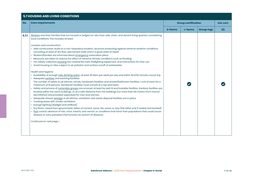# **5.7 HOUSING AND LIVING CONDITIONS No. Core requirements Group certification Ind. cert. S-farms L-farms Group mgt. S/L 5.7.1** Workers and their families that are housed or lodged on-site have safe, clean, and decent living quarters considering local conditions. This includes at least: Location and construction: • Safe construction; build on a non-hazardous location, structure protecting against extreme weather conditions, consisting at least of dry floor, permanent walls and in a good state of repair • Workers/families are informed about emergency evacuation plans • Measures are taken to reduce the effect of extreme climate conditions such as flooding • Fire Safety: collective housing has marked fire exits, firefighting equipment, and instructions for their use • Avoid housing on sites subject to air pollution and surface runoff of wastewater Health and Hygiene: • Availability of enough safe drinking water; at least 20 liters per adult per day and within 1km/30 minutes round-trip • Adequate sanitary and washing facilities: The number of toilets or pit latrines, urinals, handwash facilities and shower/bathroom facilities: 1 unit of each for a  $\overline{\mathcal{L}}$ Ø maximum of 15 persons. Handwash facilities must consist of a tap and basin. • Safety and privacy of vulnerable groups are ensured, at least by well-lit and lockable facilities. Sanitary facilities are located within the same buildings, or at a safe distance from the buildings (no more than 60 meters from rooms/ dormitories) and provided separately for men and women. • Adequate closed-sewage or pit latrines, sanitation and waste disposal facilities are in place • Cooking areas with smoke ventilation • Enough lighting (daylight and artificial) • Dry floors; raised from ground level, either of cement, stone, tile, wood, or clay (the latter only if sealed and levelled) • Pest control; absence of rats, mice, insects, and vermin, or conditions that favor their populations that could cause disease or carry parasites that function as vectors of diseases. *Continued on next page >*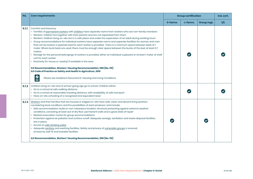| No.   | <b>Core requirements</b>                                                                                                                                                                                                                                                                                                                                                                                                                                                                                                                                                                                                                                                                                                                                                                                                                                                                                                                                                                                                                                                                                                                                        | <b>Group certification</b> |         |            | Ind. cert. |
|-------|-----------------------------------------------------------------------------------------------------------------------------------------------------------------------------------------------------------------------------------------------------------------------------------------------------------------------------------------------------------------------------------------------------------------------------------------------------------------------------------------------------------------------------------------------------------------------------------------------------------------------------------------------------------------------------------------------------------------------------------------------------------------------------------------------------------------------------------------------------------------------------------------------------------------------------------------------------------------------------------------------------------------------------------------------------------------------------------------------------------------------------------------------------------------|----------------------------|---------|------------|------------|
|       |                                                                                                                                                                                                                                                                                                                                                                                                                                                                                                                                                                                                                                                                                                                                                                                                                                                                                                                                                                                                                                                                                                                                                                 | S-farms                    | L-farms | Group mgt. | s/L        |
| 5.7.1 | Comfort and Decency:<br>• Families of permanent workers with children have separate rooms from workers who are non-family members<br>• Workers' children live together with their parents and are not separated from them<br>• Workers' children living on-site are in a safe place and under the supervision of an adult during working hours<br>· Group accommodations for individual workers have separate rooms and separate facilities for women and men<br>that can be locked. A separate bed for each worker is provided . There is a minimum space between beds of 1<br>meter. Where bunk beds are used, there must be enough clear space between the bunks of the bed, at least 0.7<br>meters.<br>· Storage for the personal belongings of workers is provided, either an individual cupboard or at least I meter of shelf<br>unit for each worker<br>• Electricity (in-house or nearby) if available in the area<br>ILO Recommendation, Workers' Housing Recommendation, 1961 (No. 115)<br>ILO Code of Practice on Safety and Health in Agriculture, 2010<br>$\overline{\mathbf{P}}$<br>Please see Guidance Document K: Housing and Living Conditions |                            |         |            |            |
| 5.7.2 | Children living on-site and of school-going age go to school. Children either:<br>• Go to a school at safe walking distance<br>• Go to a school at reasonable traveling distance, with availability of safe transport<br>• Have on-site schooling of a recognized and equivalent level.                                                                                                                                                                                                                                                                                                                                                                                                                                                                                                                                                                                                                                                                                                                                                                                                                                                                         |                            |         |            |            |
| 5.7.3 | Workers and their families that are housed or lodged on-site have safe, clean and decent living quarters<br>considering local conditions and the possibilities of each producer, and include:<br>· Safe accommodation; build on non-hazardous location, structure protecting against extreme weather<br>conditions, consisting at least out of dry floor, permanent walls and a good state of repair<br>• Marked evacuation routes for group accommodations<br>· Protection against air pollution and surface runoff. Adequate sewage, sanitation and waste disposal facilities<br>are in place<br>• Access to safe drinking water<br>· Adequate sanitary and washing facilities. Safety and privacy of vulnerable groups is ensured,<br>at least by well-lit and lockable facilities<br>ILO Recommendation, Workers' Housing Recommendation, 1961 (No. 115)                                                                                                                                                                                                                                                                                                    |                            |         |            |            |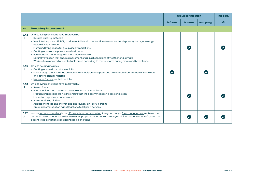|              |                                                                                                                                                                                                                                                                                                                                                                                                                                                                                                                                                                                             | <b>Group certification</b> |         |            | Ind. cert. |
|--------------|---------------------------------------------------------------------------------------------------------------------------------------------------------------------------------------------------------------------------------------------------------------------------------------------------------------------------------------------------------------------------------------------------------------------------------------------------------------------------------------------------------------------------------------------------------------------------------------------|----------------------------|---------|------------|------------|
|              |                                                                                                                                                                                                                                                                                                                                                                                                                                                                                                                                                                                             | S-farms                    | L-farms | Group mgt. | s/L        |
| No.          | <b>Mandatory Improvement</b>                                                                                                                                                                                                                                                                                                                                                                                                                                                                                                                                                                |                            |         |            |            |
| 5.7.4<br>LT. | On-site living conditions have improved by:<br>• Durable building materials<br>• Ventilated Improved Pit (VIP) latrines or toilets with connections to wastewater disposal systems, or sewage<br>system if this is present<br>• Increased living space for group accommodations<br>• Cooking areas are separate from bedrooms<br>• Bunk beds are not arranged in more than two levels<br>• Natural ventilation that ensures movement of air in all conditions of weather and climate<br>• Workers have covered or comfortable areas according to their customs during meals and break times |                            |         |            |            |
| 5.7.5<br>ш   | On-site housing includes:<br>• Cooking areas with smoke ventilation<br>• Food storage areas must be protected from moisture and pests and be separate from storage of chemicals<br>and other potential hazards<br>• Measures for pest control are taken                                                                                                                                                                                                                                                                                                                                     |                            |         |            |            |
| 5.7.6<br>L2  | On-site living conditions have improved by:<br>• Sealed floors<br>• Rooms indicate the maximum allowed number of inhabitants<br>• Frequent inspections are held to ensure that the accommodation is safe and clean,<br>inspection reports are documented<br>• Areas for drying clothes<br>• At least one toilet, one shower, and one laundry sink per 6 persons<br>• Group accommodation has at least one toilet per 6 persons                                                                                                                                                              |                            |         |            |            |
| 5.7.7<br>ш   | In case temporary workers have off-property accommodation, the group and/or farm management makes arran-<br>gements or works together with the relevant property owners or settlement/municipal authorities for safe, clean and<br>decent living conditions considering local conditions.                                                                                                                                                                                                                                                                                                   |                            |         |            |            |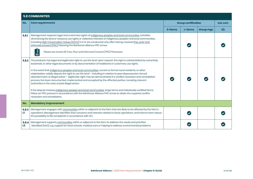|             | <b>5.8 COMMUNITIES</b>                                                                                                                                                                                                                                                                                                                                                                                                                                                                                                                                                                                                                                                                                                                                                                                                                                                                                                                                                                        |                            |         |            |            |
|-------------|-----------------------------------------------------------------------------------------------------------------------------------------------------------------------------------------------------------------------------------------------------------------------------------------------------------------------------------------------------------------------------------------------------------------------------------------------------------------------------------------------------------------------------------------------------------------------------------------------------------------------------------------------------------------------------------------------------------------------------------------------------------------------------------------------------------------------------------------------------------------------------------------------------------------------------------------------------------------------------------------------|----------------------------|---------|------------|------------|
| No.         | <b>Core requirements</b>                                                                                                                                                                                                                                                                                                                                                                                                                                                                                                                                                                                                                                                                                                                                                                                                                                                                                                                                                                      | <b>Group certification</b> |         |            | Ind. cert. |
|             |                                                                                                                                                                                                                                                                                                                                                                                                                                                                                                                                                                                                                                                                                                                                                                                                                                                                                                                                                                                               | S-farms                    | L-farms | Group mgt. | s/L        |
| 5.8.1       | Management respects legal and customary rights of indigenous peoples and local communities. Activities<br>diminishing the land or resource use rights or collective interests of indigenous peoples and local communities,<br>including High Conservation Values (HCVs) 5 or 6, are conducted only after having received free, prior and<br>informed consent (FPIC) following the Rainforest Alliance FPIC annex.<br>U<br>Please see Annex SII: Free, Prior and Informed Consent (FPIC) Processes                                                                                                                                                                                                                                                                                                                                                                                                                                                                                             |                            |         |            |            |
| 5.8.2       | The producer has legal and legitimate right to use the land. Upon request, this right is substantiated by ownership,<br>leasehold, or other legal documents or by documentation of traditional or customary use rights.<br>In the event that indigenous peoples and local communities, current or former local residents, or other<br>stakeholders validly dispute the right to use the land - including in relation to past dispossession, forced<br>abandonment, or illegal action - legitimate right may be demonstrated if a conflict resolution and remediation<br>process has been documented, implemented and accepted by the affected parties, including relevant<br>authorities in the case of past illegal action.<br>If the dispute involves indigenous peoples and local communities, large farms and individually certified farms<br>follow an FPIC process in accordance with the Rainforest Alliance FPIC Annex to attain the required conflict<br>resolution and remediation. |                            |         |            |            |
| No.         | <b>Mandatory Improvement</b>                                                                                                                                                                                                                                                                                                                                                                                                                                                                                                                                                                                                                                                                                                                                                                                                                                                                                                                                                                  |                            |         |            |            |
| 5.8.3<br>ш  | Management engages with communities within or adjacent to the farm that are likely to be affected by the farm's<br>operations. Management identifies their concerns and interests related to these operations, and informs them about<br>the possibility to file complaints in accordance with 1.5.1.                                                                                                                                                                                                                                                                                                                                                                                                                                                                                                                                                                                                                                                                                         |                            |         |            |            |
| 5.8.4<br>L2 | Management supports communities within or adjacent to the farm to address the needs and priorities<br>identified (5.8.3), e.g. support for local schools, medical care or helping to address environmental problems.                                                                                                                                                                                                                                                                                                                                                                                                                                                                                                                                                                                                                                                                                                                                                                          |                            |         |            |            |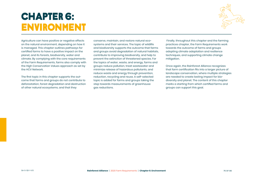## **CHAPTER 6: ENVIRONMENT**



Agriculture can have positive or negative effects on the natural environment, depending on how it is managed. This chapter outlines pathways for certified farms to have a positive impact on the planet, and its forests, biodiversity, water and climate. By complying with the core requirements of the Farm Requirements, farms also comply with the High Conservation Values approach as set by the HCV Network.

The first topic in this chapter supports the outcome that farms and groups do not contribute to deforestation, forest degradation and destruction of other natural ecosystems, and that they

conserve, maintain, and restore natural ecosystems and their services. The topic of wildlife and biodiversity supports the outcome that farms and groups avoid degradation of natural habitats, contribute to improving biodiversity, and help to prevent the extinction of threatened species. For the topics of water, waste, and energy, farms and groups reduce pollution, treat wastewater and minimize release of hazardous pollutants, and reduce waste and energy through prevention, reduction, recycling and reuse. A self-selected topic is added for farms and groups taking the step towards measurements of greenhouse gas reductions.

 Finally, throughout this chapter and the farming practices chapter, the Farm Requirements work towards the outcome of farms and groups adopting climate adaptation and resilience techniques, and supporting climate change mitigation.

Once again, the Rainforest Alliance recognizes that farm certification fits into a larger picture of landscape conservation, where multiple strategies are needed to create lasting impact for biodiversity and planet. The content of this chapter marks a starting from which certified farms and groups can support this goal.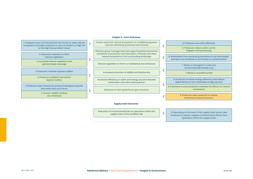## **Chapter 6 - Farm Outcomes**

| 1. Producers have not encroached into forests or other natural<br>ecosystems and take measures in case of medium or high risk | Forests and other natural ecosystems on certified production<br>units are effectively protected and restored     | 5. Producers use water efficiently                                                                                      |
|-------------------------------------------------------------------------------------------------------------------------------|------------------------------------------------------------------------------------------------------------------|-------------------------------------------------------------------------------------------------------------------------|
| to the High Conservation Values                                                                                               | Effective group management and supporting field intervention                                                     | 5. Producers reduce water use for<br>irrigation and processing                                                          |
| 2. Producers maintain on-farm<br>natural vegetation                                                                           | contribute to protection and restoration of forests and other<br>natural ecosystems in the surrounding landscape | 6. Wastewater from processing operations is not discharged,<br>and does not contribute to soil erosion or contamination |
| 2. Increased natural vegetation and                                                                                           |                                                                                                                  |                                                                                                                         |
| optimal shade coverage                                                                                                        | Natural vegetation on farms is maintained and enhanced                                                           | 7. Waste is managed in a safe and<br>environmentally friendly way                                                       |
|                                                                                                                               |                                                                                                                  |                                                                                                                         |
| 3. Producers maintain riparian buffers                                                                                        | Increased protection of wildlife and biodiversity                                                                | 7. Waste is reused/recycled                                                                                             |
| 3. Producers establish and restore                                                                                            |                                                                                                                  |                                                                                                                         |
| riparian buffers                                                                                                              | Increased efficiency in water and energy use and reduced<br>wastewater and solid waste pollution                 | 8. Producers increase energy efficiency and reduce<br>dependency on non-renewable energy sources                        |
| 4. Producers take measure to protect endangered species                                                                       |                                                                                                                  | 8. If biomass is used, producers minimize the effects on natural                                                        |
| and native flora and fauna                                                                                                    | Reduced on-farm greenhouse gas emissions                                                                         | ecosystems                                                                                                              |
| 4. Human-wildlife conflicts<br>are minimized                                                                                  |                                                                                                                  | 9. Producers take measures to reduce<br>________                                                                        |

## **Supply chain Outcomes**

Reduction of environmental risks on operations within the supply chain of the certified crop

6. Depending on the level of risk, supply chain actors take measures to reduce negative environmental effects from operations within the supply chain

 $\overline{\left\langle \right\rangle }$ 

Greenhouse Gases Emissions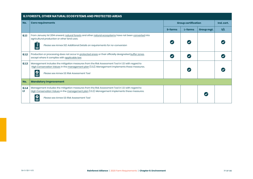|              | 6.1 FORESTS, OTHER NATURAL ECOSYSTEMS AND PROTECTED AREAS                                                                                                                                                                                        |                            |         |            |            |  |  |  |  |
|--------------|--------------------------------------------------------------------------------------------------------------------------------------------------------------------------------------------------------------------------------------------------|----------------------------|---------|------------|------------|--|--|--|--|
| No.          | <b>Core requirements</b>                                                                                                                                                                                                                         | <b>Group certification</b> |         |            | Ind. cert. |  |  |  |  |
|              |                                                                                                                                                                                                                                                  | S-farms                    | L-farms | Group mgt. | s/L        |  |  |  |  |
| 6.1.1        | From January 1st 2014 onward, natural forests and other natural ecosystems have not been converted into<br>agricultural production or other land uses.<br>Please see Annex S12: Additional Details on requirements for no-conversion             |                            |         |            |            |  |  |  |  |
| 6.1.2        | Production or processing does not occur in protected areas or their officially designated buffer zones,<br>except where it complies with applicable law.                                                                                         |                            |         |            |            |  |  |  |  |
| 6.1.3        | Management includes the mitigation measures from the Risk Assessment Tool in 1.3.1 with regard to<br>High Conservation Values in the management plan (1.3.2). Management implements these measures.<br>Please see Annex S3: Risk Assessment Tool |                            |         |            |            |  |  |  |  |
| No.          | <b>Mandatory Improvement</b>                                                                                                                                                                                                                     |                            |         |            |            |  |  |  |  |
| 6.1.4<br>LT. | Management includes the mitigation measures from the Risk Assessment Tool in 1.3.1 with regard to<br>High Conservation Values in the management plan (1.3.2). Management implements these measures.<br>Please see Annex S3: Risk Assessment Tool |                            |         |            |            |  |  |  |  |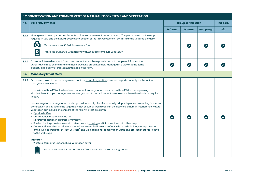|       | 6.2 CONSERVATION AND ENHANCEMENT OF NATURAL ECOSYSTEMS AND VEGETATION                                                                                                                                                                                                                                                                                                                                                                                                                                                                                                                                                                                                                                                                                                                                                                                                                                                                                                                                                                                                                                                                                                                                                                                                                                                                             |                            |         |            |            |  |  |  |
|-------|---------------------------------------------------------------------------------------------------------------------------------------------------------------------------------------------------------------------------------------------------------------------------------------------------------------------------------------------------------------------------------------------------------------------------------------------------------------------------------------------------------------------------------------------------------------------------------------------------------------------------------------------------------------------------------------------------------------------------------------------------------------------------------------------------------------------------------------------------------------------------------------------------------------------------------------------------------------------------------------------------------------------------------------------------------------------------------------------------------------------------------------------------------------------------------------------------------------------------------------------------------------------------------------------------------------------------------------------------|----------------------------|---------|------------|------------|--|--|--|
| No.   | <b>Core requirements</b>                                                                                                                                                                                                                                                                                                                                                                                                                                                                                                                                                                                                                                                                                                                                                                                                                                                                                                                                                                                                                                                                                                                                                                                                                                                                                                                          | <b>Group certification</b> |         |            | Ind. cert. |  |  |  |
|       |                                                                                                                                                                                                                                                                                                                                                                                                                                                                                                                                                                                                                                                                                                                                                                                                                                                                                                                                                                                                                                                                                                                                                                                                                                                                                                                                                   | S-farms                    | L-farms | Group mgt. | S/L        |  |  |  |
| 6.2.1 | Management develops and implements a plan to conserve natural ecosystems. The plan is based on the map<br>required in 1.2.10 and the natural ecosystems section of the Risk Assessment Tool in 1.3.1 and is updated annually.<br>$\bar{\mathbb{R}}$<br>Please see Annex S3: Risk Assessment Tool<br>$\overset{\circ}{\equiv}$<br>Please see Guidance Document M: Natural ecosystems and vegetation                                                                                                                                                                                                                                                                                                                                                                                                                                                                                                                                                                                                                                                                                                                                                                                                                                                                                                                                                |                            |         |            |            |  |  |  |
| 6.2.2 | Farms maintain all remnant forest trees, except when these pose hazards to people or infrastructure.<br>Other native trees on the farm and their harvesting are sustainably managed in a way that the same<br>quantity and quality of trees is maintained on the farm.                                                                                                                                                                                                                                                                                                                                                                                                                                                                                                                                                                                                                                                                                                                                                                                                                                                                                                                                                                                                                                                                            | $\blacktriangledown$       |         |            |            |  |  |  |
| No.   | <b>Mandatory Smart Meter</b>                                                                                                                                                                                                                                                                                                                                                                                                                                                                                                                                                                                                                                                                                                                                                                                                                                                                                                                                                                                                                                                                                                                                                                                                                                                                                                                      |                            |         |            |            |  |  |  |
| 6,2,3 | Producers maintain and management monitors natural vegetation cover and reports annually on the indicator<br>from year one onwards.<br>If there is less than 10% of the total area under natural vegetation cover or less than 15% for farms growing<br>shade-tolerant crops, management sets targets and takes actions for farms to reach these thresholds as required<br>in 6.2.4.<br>Natural vegetation is vegetation made up predominantly of native or locally adapted species, resembling in species<br>composition and structure the vegetation that occurs or would occur in the absence of human interference. Natural<br>vegetation can include one or more of the following (not exclusive):<br>• Riparian buffers<br>• Conservation areas within the farm<br>• Natural vegetation in agroforestry systems<br>· Border plantings, live fences and barriers around housing and infrastructure, or in other ways<br>• Conservation and restoration areas outside the certified farm that effectively provide for long-term protection<br>of the subject areas (for at least 25 years) and yield additional conservation value and protection status relative<br>to the status quo<br>Indicator:<br>• % of total farm area under natural vegetation cover<br>Please see Annex S15: Details on Off-site Conservation of Natural Vegetation |                            |         |            |            |  |  |  |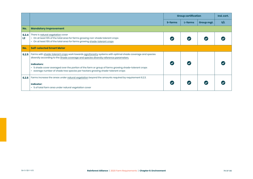|             |                                                                                                                                                                                                        | <b>Group certification</b> |         | Ind. cert. |     |
|-------------|--------------------------------------------------------------------------------------------------------------------------------------------------------------------------------------------------------|----------------------------|---------|------------|-----|
|             |                                                                                                                                                                                                        | S-farms                    | L-farms | Group mgt. | s/L |
| No.         | <b>Mandatory Improvement</b>                                                                                                                                                                           |                            |         |            |     |
| 6.2.4<br>L2 | There is natural vegetation cover<br>• On at least 10% of the total area for farms growing non-shade tolerant crops<br>• On at least 15% of the total area for farms growing shade-tolerant crops      |                            |         |            |     |
| No.         | <b>Self-selected Smart Meter</b>                                                                                                                                                                       |                            |         |            |     |
| 6.2.5       | Farms with shade-tolerant crops work towards agroforestry systems with optimal shade coverage and species<br>diversity according to the Shade coverage and species diversity reference parameters.     |                            |         |            |     |
|             | Indicators:<br>. % shade cover averaged over the portion of the farm or group of farms growing shade-tolerant crops<br>• average number of shade tree species per hectare growing shade-tolerant crops |                            |         |            |     |
| 6,2.6       | Farms increase the areas under natural vegetation beyond the amounts required by requirement 6.2.3.                                                                                                    |                            |         |            |     |
|             | Indicator:<br>• % of total farm area under natural vegetation cover                                                                                                                                    |                            |         |            |     |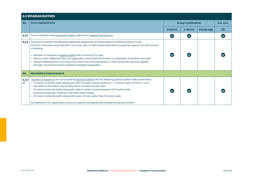|            | <b>6.3 RIPARIAN BUFFERS</b>                                                                                                                                                                                                                                                                                                                                                                                                                                                                                                                                                                                                            |                            |                      |            |            |  |  |  |
|------------|----------------------------------------------------------------------------------------------------------------------------------------------------------------------------------------------------------------------------------------------------------------------------------------------------------------------------------------------------------------------------------------------------------------------------------------------------------------------------------------------------------------------------------------------------------------------------------------------------------------------------------------|----------------------------|----------------------|------------|------------|--|--|--|
| No.        | <b>Core requirements</b>                                                                                                                                                                                                                                                                                                                                                                                                                                                                                                                                                                                                               | <b>Group certification</b> |                      |            | Ind. cert. |  |  |  |
|            |                                                                                                                                                                                                                                                                                                                                                                                                                                                                                                                                                                                                                                        | S-farms                    | L-farms              | Group mgt. | S/L        |  |  |  |
| 6.3.1      | Farms maintain existing riparian buffers adjacent to aquatic ecosystems.                                                                                                                                                                                                                                                                                                                                                                                                                                                                                                                                                               | $\blacktriangledown$       | $\blacktriangledown$ |            |            |  |  |  |
| 6.3.2      | Producers maintain the following additional safeguards for the protection of drinking water in case<br>the farm is located closer than 50 m to a river, lake, or other water body that is frequently used as the main source<br>of drinking.<br>• Maintain or establish a riparian buffer that is at least 10 m wide<br>· Add an outer, additional 20m non-application zone (total 30m) where no pesticides or fertilizers are used<br>• Add an additional 20m zone (from 30 to 50m from the waterbody), in which pesticides are only applied<br>through mechanical, hand-assisted or targeted application                             |                            |                      |            |            |  |  |  |
| No.        | <b>Mandatory Improvement</b>                                                                                                                                                                                                                                                                                                                                                                                                                                                                                                                                                                                                           |                            |                      |            |            |  |  |  |
| 6.3.3<br>ш | Aquatic ecosystems are surrounded by riparian buffers with the following riparian buffer width parameters:<br>· 5 meters horizontal width along both sides of water courses between 1 - 5 meters wide. For farms < 2 ha,<br>the width of the buffer may be reduced to 2 meters at both sides<br>. 8 meters horizontal width along both sides of water courses between 5-10 meters wide,<br>and around springs, wetlands, and other water bodies<br>• 15 meters horizontal width along both sides of rivers wider than 10 meters wide<br>No additional non-application zones are required alongside fully established riparian buffers. |                            |                      |            |            |  |  |  |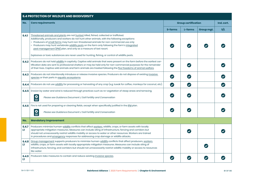|            | <b>6.4 PROTECTION OF WILDLIFE AND BIODIVERSITY</b>                                                                                                                                                                                                                                                                                                                                                                                                        |                            |                       |            |            |
|------------|-----------------------------------------------------------------------------------------------------------------------------------------------------------------------------------------------------------------------------------------------------------------------------------------------------------------------------------------------------------------------------------------------------------------------------------------------------------|----------------------------|-----------------------|------------|------------|
| No.        | <b>Core requirements</b>                                                                                                                                                                                                                                                                                                                                                                                                                                  | <b>Group certification</b> |                       |            | Ind. cert. |
|            |                                                                                                                                                                                                                                                                                                                                                                                                                                                           | <b>S-farms</b>             | L-farms               | Group mgt. | s/L        |
| 6.4.1      | Threatened animals and plants are not hunted, killed, fished, collected or trafficked.<br>Additionally, producers and workers do not hunt other animals, with the following exceptions:<br>• Producers of small farms may hunt non-threatened animals for non-commercial use only<br>• Producers may hunt vertebrate wildlife pests on the farm only following the farm's integrated<br>pest management (IPM) plan, and only as a measure of last resort. |                            |                       |            |            |
|            | Explosives or toxic substances are never used for hunting, fishing, or control of wildlife pests.                                                                                                                                                                                                                                                                                                                                                         |                            |                       |            |            |
| 6.4.2      | Producers do not hold wildlife in captivity. Captive wild animals that were present on the farm before the earliest cer-<br>tification date are sent to professional shelters or may be held only for non-commercial purposes for the remainder<br>of their lives. Captive wild animals and farm animals are treated following the five freedoms of animal welfare.                                                                                       | $\bullet$                  |                       |            |            |
| 6,4.3      | Producers do not intentionally introduce or release invasive species. Producers do not dispose of existing invasive<br>species or their parts in aquatic ecosystems.                                                                                                                                                                                                                                                                                      | $\boldsymbol{\omega}$      | $\bullet$             |            |            |
| 6.4.4      | Producers do not use wildlife for processing or harvesting of any crop (e.g. luwak for coffee, monkeys for coconut, etc).                                                                                                                                                                                                                                                                                                                                 | $\boldsymbol{\omega}$      | $\boldsymbol{\omega}$ |            |            |
|            | 6.4.5   Erosion by water and wind is reduced through practices such as re-vegetation of steep areas and terracing.                                                                                                                                                                                                                                                                                                                                        |                            |                       |            |            |
|            | $\mathbf{Q}$<br>Please see Guidance Document J: Soil Fertility and Conservation                                                                                                                                                                                                                                                                                                                                                                           | $\checkmark$               |                       |            |            |
| 6.4.6      | Fire is not used for preparing or cleaning fields, except when specifically justified in the IPM plan.                                                                                                                                                                                                                                                                                                                                                    |                            |                       |            |            |
|            | $\mathbf{Q}$<br>Please see Guidance Document J: Soil Fertility and Conservation                                                                                                                                                                                                                                                                                                                                                                           |                            |                       |            |            |
| No.        | <b>Mandatory Improvement</b>                                                                                                                                                                                                                                                                                                                                                                                                                              |                            |                       |            |            |
| 6.4.7<br>ш | Producers minimize human-wildlife conflicts that affect workers, wildlife, crops, or farm assets with locally<br>appropriate mitigation measures. Measures can include siting of infrastructure, fencing and corridors but<br>should not unnecessarily restrict wildlife mobility or access to water or other resources. Workers are trained<br>in procedures and emergency responses for addressing crop damage or wildlife attacks.                     |                            |                       |            |            |
| 6,4.8<br>ш | Group management supports producers to minimize human-wildlife conflicts that affect producers, workers,<br>wildlife, crops, or farm assets with locally appropriate mitigation measures. Measures can include siting of<br>infrastructure, fencing, and corridors but should not unnecessarily restrict wildlife mobility or access to resources<br>like water.                                                                                          |                            |                       |            |            |
| 6,4.9<br>ш | Producers take measures to contain and reduce existing invasive species.                                                                                                                                                                                                                                                                                                                                                                                  |                            |                       |            |            |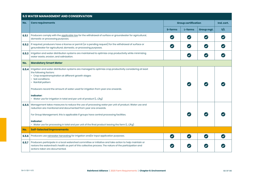|         | <b>6.5 WATER MANAGEMENT AND CONSERVATION</b>                                                                                                                                                                                                                                                                                                                                                                           |                            |                            |              |            |
|---------|------------------------------------------------------------------------------------------------------------------------------------------------------------------------------------------------------------------------------------------------------------------------------------------------------------------------------------------------------------------------------------------------------------------------|----------------------------|----------------------------|--------------|------------|
| No.     | <b>Core requirements</b>                                                                                                                                                                                                                                                                                                                                                                                               | <b>Group certification</b> |                            |              | Ind. cert. |
|         |                                                                                                                                                                                                                                                                                                                                                                                                                        | <b>S-farms</b>             | L-farms                    | Group mgt.   | S/L        |
| 6, 5.1  | Producers comply with the applicable law for the withdrawal of surface or groundwater for agricultural,<br>domestic or processing purposes.                                                                                                                                                                                                                                                                            | $\overline{\mathcal{L}}$   | $\left($                   | $\checkmark$ |            |
| 6, 5, 2 | If required, producers have a license or permit (or a pending request) for the withdrawal of surface or<br>groundwater for agricultural, domestic, or processing purposes.                                                                                                                                                                                                                                             | $\bullet$                  | $\bullet$                  | $\bullet$    |            |
| 6.5.3   | Irrigation and water distribution systems are maintained to optimize crop productivity while minimizing<br>water waste, erosion, and salinization.                                                                                                                                                                                                                                                                     |                            | $\boldsymbol{\mathcal{C}}$ | $\bullet$    |            |
| No.     | <b>Mandatory Smart Meter</b>                                                                                                                                                                                                                                                                                                                                                                                           |                            |                            |              |            |
| 6.5.4   | Irrigation and water distribution systems are managed to optimize crop productivity considering at least<br>the following factors:<br>• Crop evapotranspiration at different growth stages<br>• Soil conditions<br>• Rainfall pattern<br>Producers record the amount of water used for irrigation from year one onwards.<br><b>Indicator:</b><br>• Water use for irrigation in total and per unit of product (L, L/kg) |                            |                            |              |            |
| 6.5.5   | Management takes measures to reduce the use of processing water per unit of product. Water use and<br>reduction are monitored and documented from year one onwards.<br>For Group Management, this is applicable if groups have central processing facilities.<br><b>Indicator:</b><br>• Water use for processing in total and per unit of the final product leaving the farm $(L, L/Kg)$                               |                            |                            |              |            |
| No.     | <b>Self-Selected improvements</b>                                                                                                                                                                                                                                                                                                                                                                                      |                            |                            |              |            |
| 6.5.6   | Producers use rainwater harvesting for irrigation and/or input application purposes.                                                                                                                                                                                                                                                                                                                                   | $\bullet$                  | $\bullet$                  | $\bullet$    |            |
| 6.5.7   | Producers participate in a local watershed committee or initiative and take action to help maintain or<br>restore the watershed's health as part of this collective process. The nature of the participation and<br>actions taken are documented.                                                                                                                                                                      | $\checkmark$               |                            |              |            |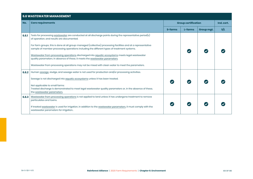## **6.6 WASTEWATER MANAGEMENT**

| No.   | <b>Core requirements</b>                                                                                                                                                                                    |         | <b>Group certification</b> |            |            |  |
|-------|-------------------------------------------------------------------------------------------------------------------------------------------------------------------------------------------------------------|---------|----------------------------|------------|------------|--|
|       |                                                                                                                                                                                                             |         |                            |            | Ind. cert. |  |
|       |                                                                                                                                                                                                             | S-farms | L-farms                    | Group mgt. | S/L        |  |
| 6.6.1 | Tests for processing wastewater are conducted at all discharge points during the representative period(s)<br>of operation, and results are documented.                                                      |         |                            |            |            |  |
|       | For farm groups, this is done at all group-managed (collective) processing facilities and at a representative<br>sample of member processing operations including the different types of treatment systems. |         |                            |            |            |  |
|       | Wastewater from processing operations discharged into aquatic ecosystems meets legal wastewater<br>quality parameters. In absence of these, it meets the wastewater parameters.                             |         |                            |            |            |  |
|       | Wastewater from processing operations may not be mixed with clean water to meet the parameters.                                                                                                             |         |                            |            |            |  |
| 6.6.2 | Human sewage, sludge, and sewage water is not used for production and/or processing activities.                                                                                                             |         |                            |            |            |  |
|       | Sewage is not discharged into aquatic ecosystems unless it has been treated.                                                                                                                                |         |                            |            |            |  |
|       | Not applicable to small farms:                                                                                                                                                                              |         |                            |            |            |  |
|       | Treated discharge is demonstrated to meet legal wastewater quality parameters or, in the absence of these,<br>the wastewater parameters.                                                                    |         |                            |            |            |  |
| 6.6.3 | Wastewater from processing operations is not applied to land unless it has undergone treatment to remove<br>particulates and toxins.                                                                        |         |                            |            |            |  |
|       | If treated wastewater is used for irrigation, in addition to the wastewater parameters, it must comply with the<br>wastewater parameters for irrigation                                                     |         |                            |            |            |  |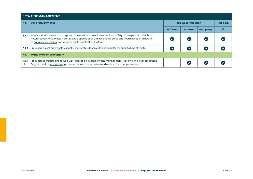|            | <b>6.7 WASTE MANAGEMENT</b>                                                                                                                                                                                                                                                                        |                            |            |            |     |  |  |  |  |
|------------|----------------------------------------------------------------------------------------------------------------------------------------------------------------------------------------------------------------------------------------------------------------------------------------------------|----------------------------|------------|------------|-----|--|--|--|--|
| No.        | <b>Core requirements</b>                                                                                                                                                                                                                                                                           | <b>Group certification</b> | Ind. cert. |            |     |  |  |  |  |
|            |                                                                                                                                                                                                                                                                                                    | S-farms                    | L-farms    | Group mgt. | S/L |  |  |  |  |
| 6.7.1      | Waste is stored, treated and disposed of in ways that do not pose health or safety risks to people, animals or<br>natural ecosystems. Waste is stored and disposed of only in designated areas and not disposed of in natural<br>or aquatic ecosystems. Non-organic waste is not left on the land. |                            |            |            |     |  |  |  |  |
| 6.7.2      | Producers do not burn waste, except in incinerators technically designed for the specific type of waste.                                                                                                                                                                                           |                            |            |            |     |  |  |  |  |
| No.        | <b>Mandatory Improvement</b>                                                                                                                                                                                                                                                                       |                            |            |            |     |  |  |  |  |
| 6.7.3<br>ш | Producers segregate and recycle waste based on available waste management, recycling and disposal options.<br>Organic waste is composted, processed for use as organic or used as input for other processes.                                                                                       |                            |            |            |     |  |  |  |  |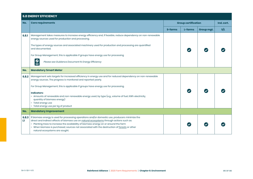| <b>6.8 ENERGY EFFICIENCY</b> |                                                                                                                                                                                                                                                                                                                                                                                                                         |                            |         |            |            |  |
|------------------------------|-------------------------------------------------------------------------------------------------------------------------------------------------------------------------------------------------------------------------------------------------------------------------------------------------------------------------------------------------------------------------------------------------------------------------|----------------------------|---------|------------|------------|--|
| No.                          | <b>Core requirements</b>                                                                                                                                                                                                                                                                                                                                                                                                | <b>Group certification</b> |         |            | Ind. cert. |  |
|                              |                                                                                                                                                                                                                                                                                                                                                                                                                         | S-farms                    | L-farms | Group mgt. | S/L        |  |
| 6.8.1                        | Management takes measures to increase energy efficiency and, if feasible, reduce dependency on non-renewable<br>energy sources used for production and processing.                                                                                                                                                                                                                                                      |                            |         |            |            |  |
|                              | The types of energy sources and associated machinery used for production and processing are quantified<br>and documented.                                                                                                                                                                                                                                                                                               |                            |         |            |            |  |
|                              | For Group Management, this is applicable if groups have energy use for processing                                                                                                                                                                                                                                                                                                                                       |                            |         |            |            |  |
|                              | Please see Guidance Document N: Energy Efficiency                                                                                                                                                                                                                                                                                                                                                                       |                            |         |            |            |  |
| No.                          | <b>Mandatory Smart Meter</b>                                                                                                                                                                                                                                                                                                                                                                                            |                            |         |            |            |  |
| 6,8,2                        | Management sets targets for increased efficiency in energy use and for reduced dependency on non-renewable<br>energy sources. The progress is monitored and reported yearly.                                                                                                                                                                                                                                            |                            |         |            |            |  |
|                              | For Group Management, this is applicable if groups have energy use for processing.                                                                                                                                                                                                                                                                                                                                      |                            |         |            |            |  |
|                              | <b>Indicators:</b><br>• Amounts of renewable and non-renewable energy used, by type (e.g., volume of fuel, KWh electricity,<br>quantity of biomass energy)<br>• Total energy use<br>• Total energy use per kg of product                                                                                                                                                                                                |                            |         |            |            |  |
| No.                          | <b>Mandatory Improvement</b>                                                                                                                                                                                                                                                                                                                                                                                            |                            |         |            |            |  |
| 6.8.3<br>ш                   | If biomass energy is used for processing operations and/or domestic use, producers minimize the<br>direct and indirect effects of biomass use on natural ecosystems through actions such as:<br>• Planting trees to increase the availability of biomass energy on or around the farm<br>• When biomass is purchased, sources not associated with the destruction of forests or other<br>natural ecosystems are sought. |                            |         |            |            |  |